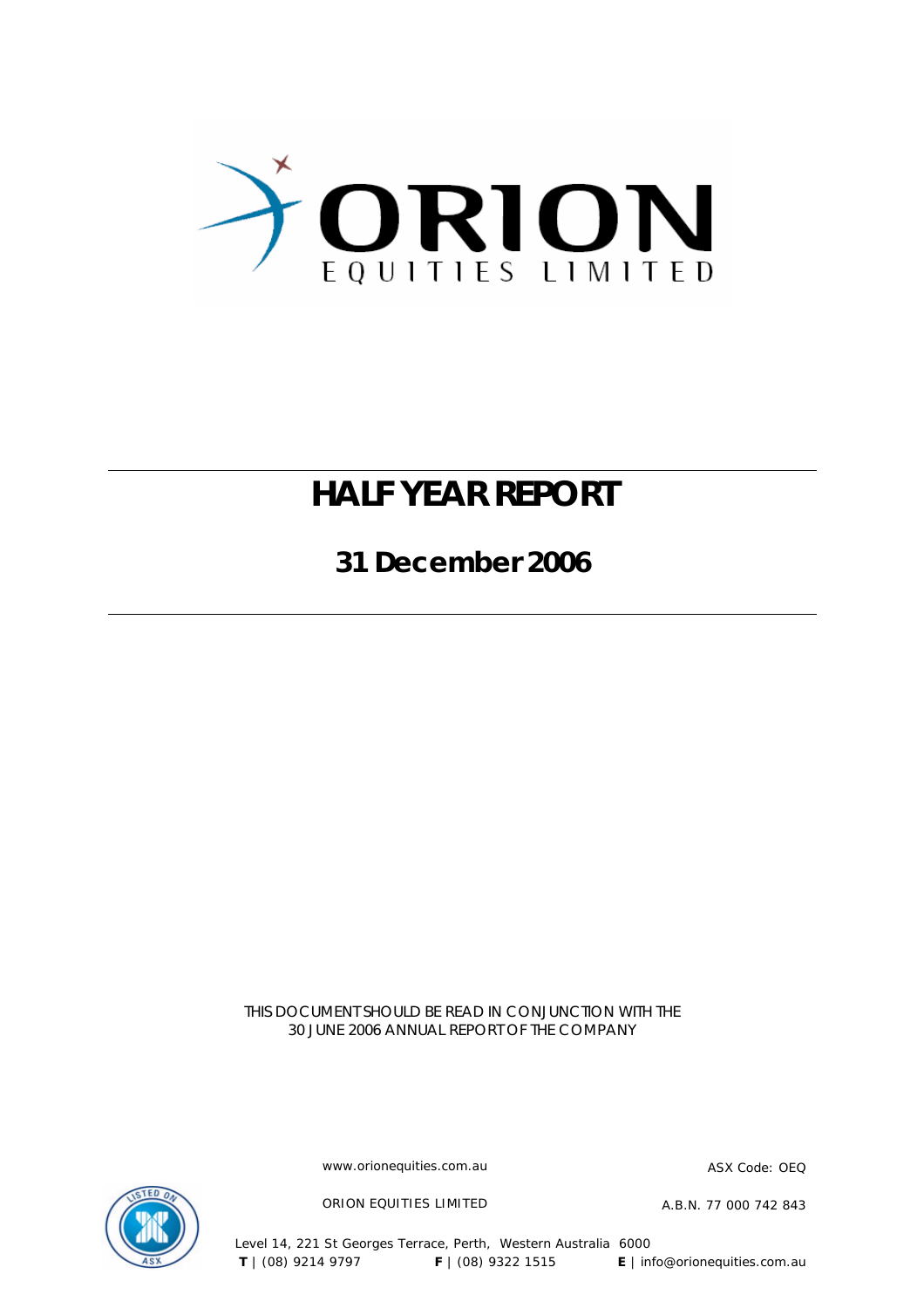

# **HALF YEAR REPORT**

**31 December 2006** 

THIS DOCUMENT SHOULD BE READ IN CONJUNCTION WITH THE 30 JUNE 2006 ANNUAL REPORT OF THE COMPANY

www.orionequities.com.au ASX Code: OEQ



ORION EQUITIES LIMITED A.B.N. 77 000 742 843

Level 14, 221 St Georges Terrace, Perth, Western Australia 6000  **T** | (08) 9214 9797 **F** | (08) 9322 1515 **E** | info@orionequities.com.au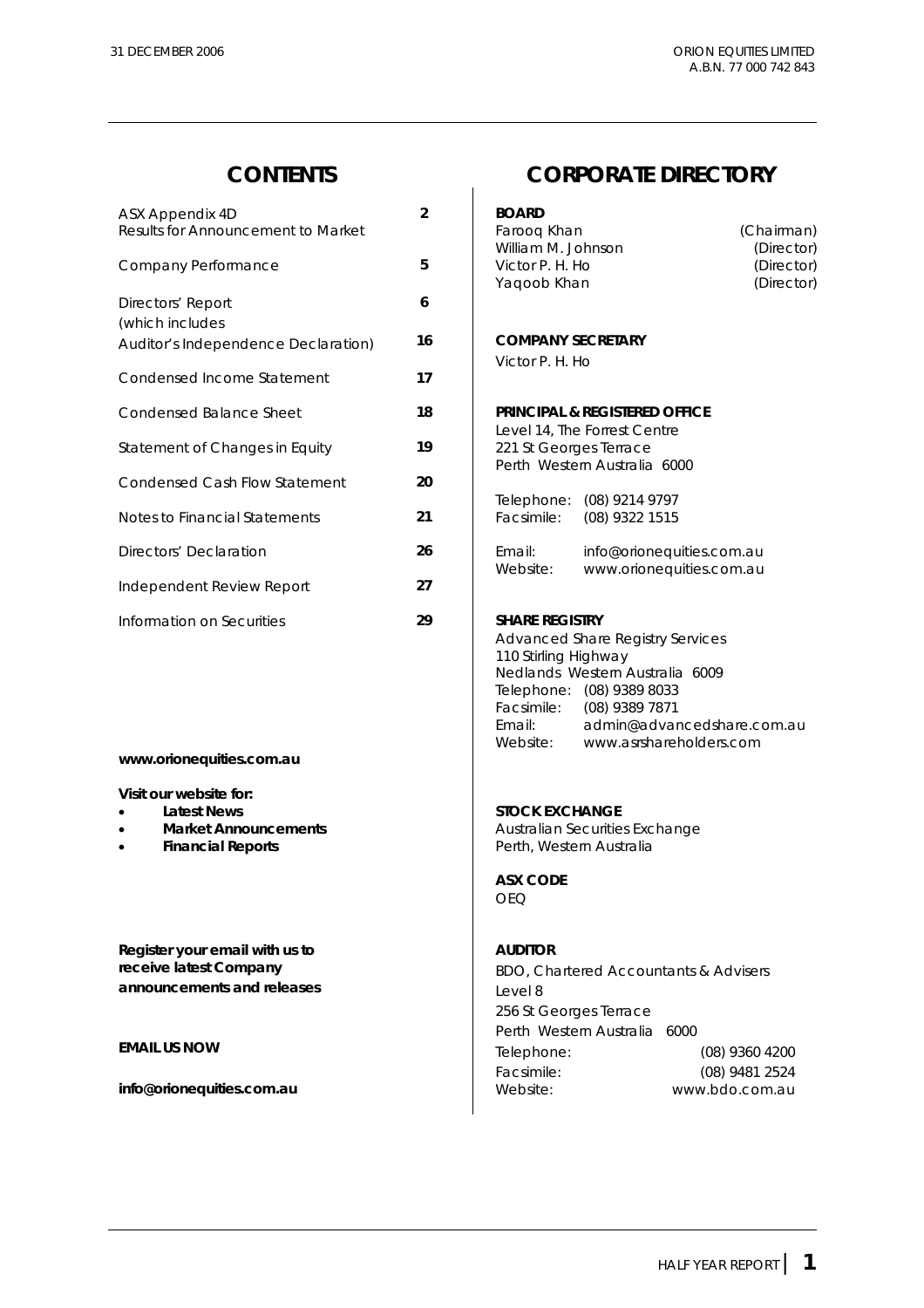| ASX Appendix 4D<br>Results for Announcement to Market | $\overline{2}$ | <b>BOARD</b><br>Faroog Khan<br>(Chairman)                  |
|-------------------------------------------------------|----------------|------------------------------------------------------------|
|                                                       |                | William M. Johnson<br>(Director)                           |
| Company Performance                                   | 5              | Victor P. H. Ho<br>(Director)<br>Yaqoob Khan<br>(Director) |
| Directors' Report                                     | 6              |                                                            |
| (which includes                                       |                |                                                            |
| Auditor's Independence Declaration)                   | 16             | <b>COMPANY SECRETARY</b>                                   |
|                                                       | 17             | Victor P. H. Ho                                            |
| Condensed Income Statement                            |                |                                                            |
| <b>Condensed Balance Sheet</b>                        | 18             | <b>PRINCIPAL &amp; REGISTERED OFFICE</b>                   |
|                                                       |                | Level 14, The Forrest Centre                               |
| Statement of Changes in Equity                        | 19             | 221 St Georges Terrace                                     |
| <b>Condensed Cash Flow Statement</b>                  | 20             | Perth Western Australia 6000                               |
|                                                       |                | Telephone: (08) 9214 9797                                  |
| Notes to Financial Statements                         | 21             | Facsimile:<br>(08) 9322 1515                               |
|                                                       |                |                                                            |
| Directors' Declaration                                | 26             | Email:<br>info@orionequities.com.au                        |
| Independent Review Report                             | 27             | Website:<br>www.orionequities.com.au                       |
|                                                       |                |                                                            |
| Information on Securities                             | 29             | <b>SHARE REGISTRY</b>                                      |

### **www.orionequities.com.au**

**Visit our website for:** 

- 
- 
- 

**Register your email with us to**  AUDITOR **announcements and releases Level 8** 

### **CONTENTS CORPORATE DIRECTORY**

#### **BOARD**

| Faroog Khan        | (Chairman) |
|--------------------|------------|
| William M. Johnson | (Director) |
| Victor P. H. Ho    | (Director) |
| Yagoob Khan        | (Director) |
|                    |            |

#### Auditor's Independence Declaration) **16 COMPANY SECRETARY**

#### **PRINCIPAL & REGISTERED OFFICE**

| Telephone: | (08) 9214 9797 |
|------------|----------------|
| Facsimile: | (08) 9322 1515 |

| Email:   | info@orionequities.com.au |
|----------|---------------------------|
| Website: | www.orionequities.com.au  |

#### **SHARE REGISTRY**

 Advanced Share Registry Services 110 Stirling Highway Nedlands Western Australia 6009 Telephone: (08) 9389 8033 Facsimile: (08) 9389 7871<br>Email: admin@advar Email: admin@advancedshare.com.au Website: www.asrshareholders.com

#### **Latest News Contract Contract Contract Contract Contract Contract Contract Contract Contract Contract Contract Contract Contract Contract Contract Contract Contract Contract Contract Contract Contract Contract Contract Co**

**Market Announcements Australian Securities Exchange Financial Reports Financial Reports Perth, Western Australia** 

#### **ASX CODE**  OEQ

**receive latest Company Exerceive latest Company BDO, Chartered Accountants & Advisers**  256 St Georges Terrace Perth Western Australia 6000 **EMAIL US NOW** Telephone: (08) 9360 4200 Facsimile: (08) 9481 2524 **info@orionequities.com.au biometrical community info@orionequities.com.au biometrical community info@orionequities.com.au**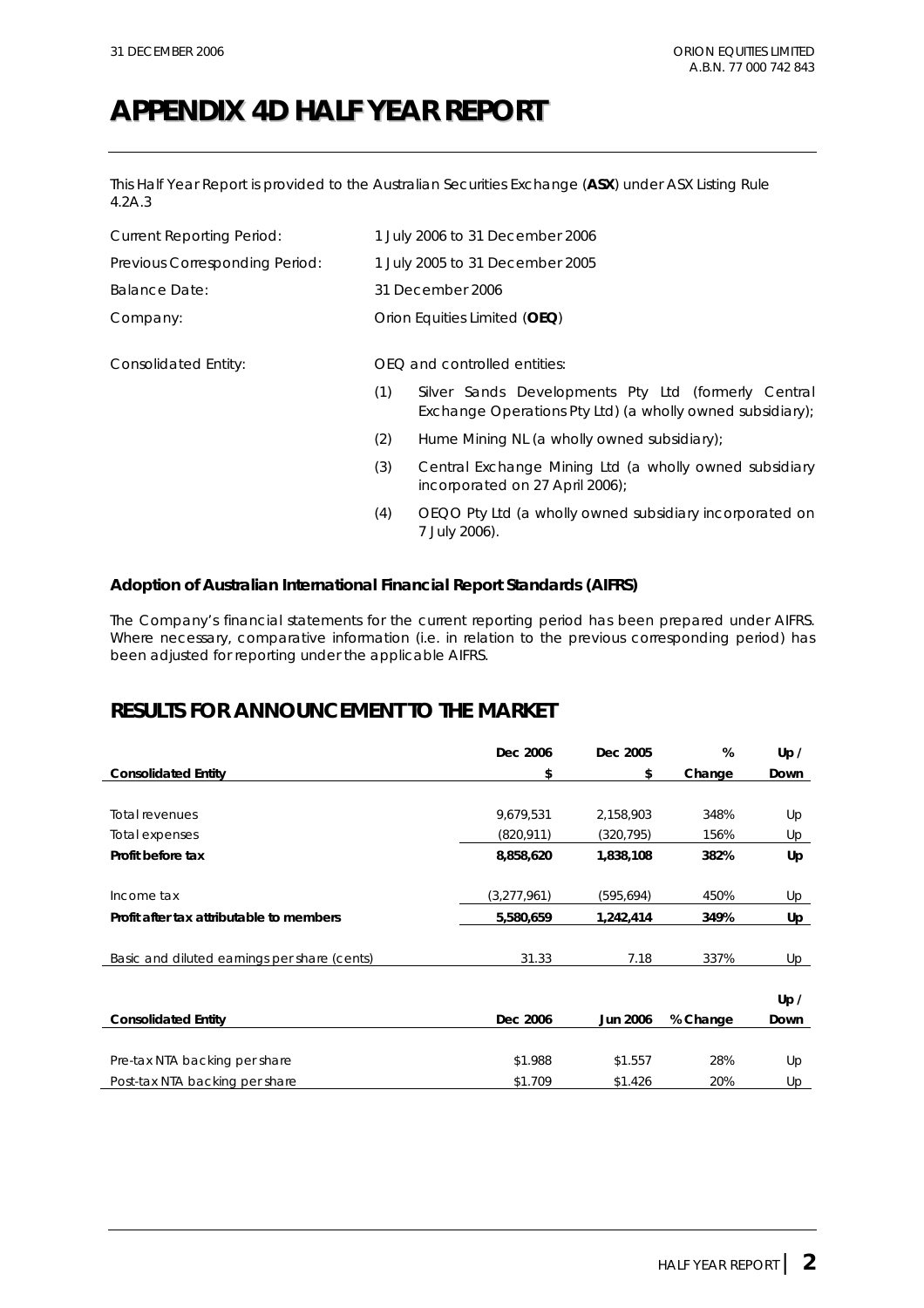## **APPENDIX 4D HALF YEAR REPORT**

This Half Year Report is provided to the Australian Securities Exchange (**ASX**) under ASX Listing Rule 4.2A.3

| <b>Current Reporting Period:</b> | 1 July 2006 to 31 December 2006 |                                                                                                                  |  |
|----------------------------------|---------------------------------|------------------------------------------------------------------------------------------------------------------|--|
| Previous Corresponding Period:   | 1 July 2005 to 31 December 2005 |                                                                                                                  |  |
| <b>Balance Date:</b>             |                                 | 31 December 2006                                                                                                 |  |
| Company:                         |                                 | Orion Equities Limited (OEQ)                                                                                     |  |
| Consolidated Entity:             |                                 | OEQ and controlled entities:                                                                                     |  |
|                                  | (1)                             | Silver Sands Developments Pty Ltd (formerly Central<br>Exchange Operations Pty Ltd) (a wholly owned subsidiary); |  |
|                                  | (2)                             | Hume Mining NL (a wholly owned subsidiary);                                                                      |  |
|                                  | (3)                             | Central Exchange Mining Ltd (a wholly owned subsidiary<br>incorporated on 27 April 2006);                        |  |
|                                  | (4)                             | OEQO Pty Ltd (a wholly owned subsidiary incorporated on<br>7 July 2006).                                         |  |
|                                  |                                 |                                                                                                                  |  |

### **Adoption of Australian International Financial Report Standards (AIFRS)**

The Company's financial statements for the current reporting period has been prepared under AIFRS. Where necessary, comparative information (i.e. in relation to the previous corresponding period) has been adjusted for reporting under the applicable AIFRS.

### **RESULTS FOR ANNOUNCEMENT TO THE MARKET**

|                                              | Dec 2006    | Dec 2005        | %        | Up / |
|----------------------------------------------|-------------|-----------------|----------|------|
| <b>Consolidated Entity</b>                   | \$          | \$              | Change   | Down |
|                                              |             |                 |          |      |
| <b>Total revenues</b>                        | 9,679,531   | 2,158,903       | 348%     | Up   |
| Total expenses                               | (820, 911)  | (320,795)       | 156%     | Up   |
| Profit before tax                            | 8,858,620   | 1,838,108       | 382%     | Up   |
|                                              |             |                 |          |      |
| Income tax                                   | (3,277,961) | (595,694)       | 450%     | Up   |
| Profit after tax attributable to members     | 5,580,659   | 1,242,414       | 349%     | Up   |
|                                              |             |                 |          |      |
| Basic and diluted earnings per share (cents) | 31.33       | 7.18            | 337%     | Up   |
|                                              |             |                 |          |      |
|                                              |             |                 |          | Up / |
| <b>Consolidated Entity</b>                   | Dec 2006    | <b>Jun 2006</b> | % Change | Down |
|                                              |             |                 |          |      |
| Pre-tax NTA backing per share                | \$1.988     | \$1.557         | 28%      | Up   |
| Post-tax NTA backing per share               | \$1.709     | \$1.426         | 20%      | Up   |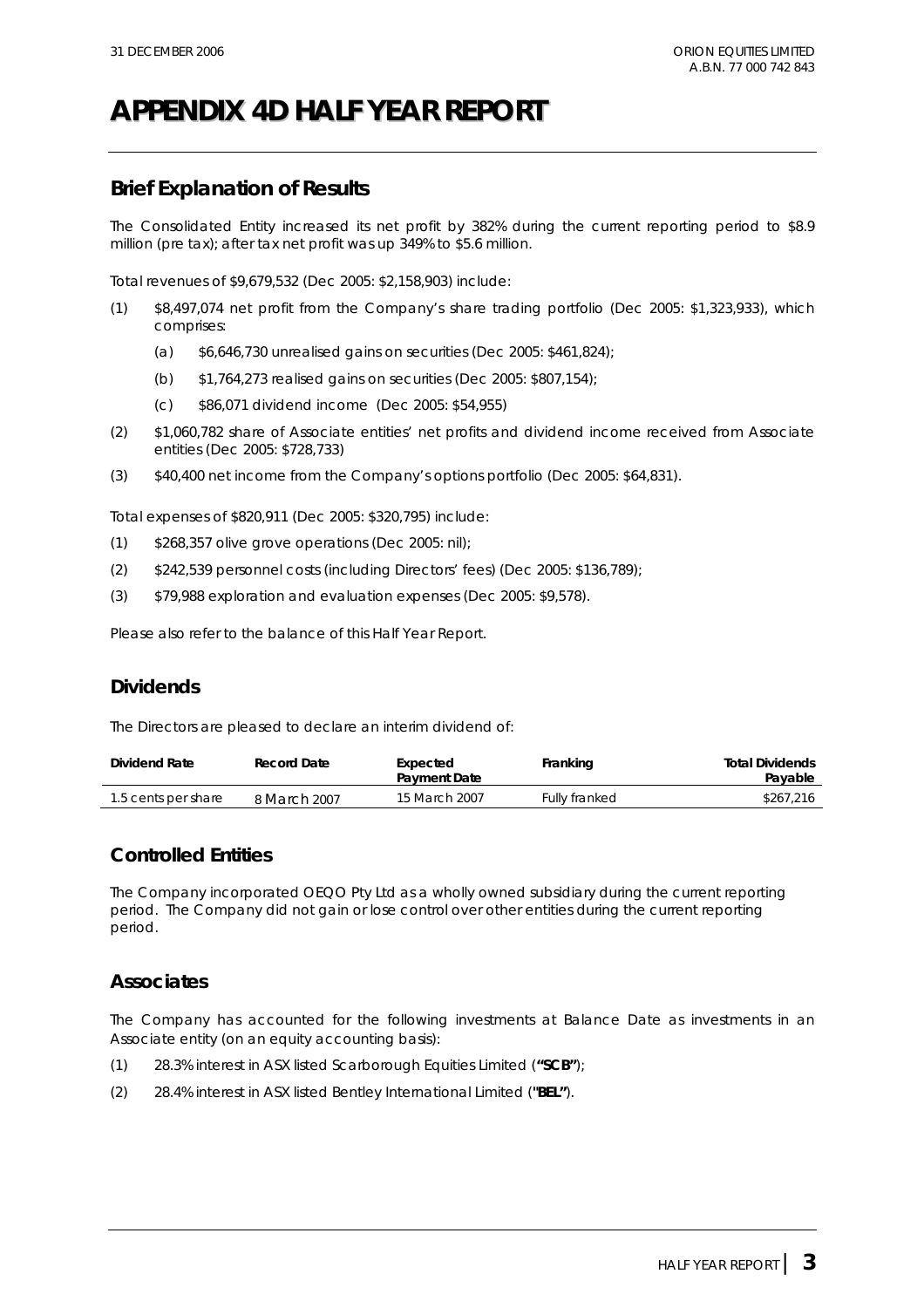# **APPENDIX 4D HALF YEAR REPORT**

### **Brief Explanation of Results**

The Consolidated Entity increased its net profit by 382% during the current reporting period to \$8.9 million (pre tax); after tax net profit was up 349% to \$5.6 million.

Total revenues of \$9,679,532 (Dec 2005: \$2,158,903) include:

- (1) \$8,497,074 net profit from the Company's share trading portfolio (Dec 2005: \$1,323,933), which comprises:
	- (a) \$6,646,730 unrealised gains on securities (Dec 2005: \$461,824);
	- (b) \$1,764,273 realised gains on securities (Dec 2005: \$807,154);
	- (c) \$86,071 dividend income (Dec 2005: \$54,955)
- (2) \$1,060,782 share of Associate entities' net profits and dividend income received from Associate entities (Dec 2005: \$728,733)
- (3) \$40,400 net income from the Company's options portfolio (Dec 2005: \$64,831).

Total expenses of \$820,911 (Dec 2005: \$320,795) include:

- (1) \$268,357 olive grove operations (Dec 2005: nil);
- (2) \$242,539 personnel costs (including Directors' fees) (Dec 2005: \$136,789);
- (3) \$79,988 exploration and evaluation expenses (Dec 2005: \$9,578).

Please also refer to the balance of this Half Year Report.

### **Dividends**

The Directors are pleased to declare an interim dividend of:

| Dividend Rate       | Record Date  | Expected<br><b>Payment Date</b> | Franking             | <b>Total Dividends</b><br>Payable |
|---------------------|--------------|---------------------------------|----------------------|-----------------------------------|
| 1.5 cents per share | 8 March 2007 | 15 March 2007                   | <b>Fully franked</b> | \$267.216                         |

### **Controlled Entities**

The Company incorporated OEQO Pty Ltd as a wholly owned subsidiary during the current reporting period. The Company did not gain or lose control over other entities during the current reporting period.

### **Associates**

The Company has accounted for the following investments at Balance Date as investments in an Associate entity (on an equity accounting basis):

- (1) 28.3% interest in ASX listed Scarborough Equities Limited (**"SCB"**);
- (2) 28.4% interest in ASX listed Bentley International Limited (**"BEL"**).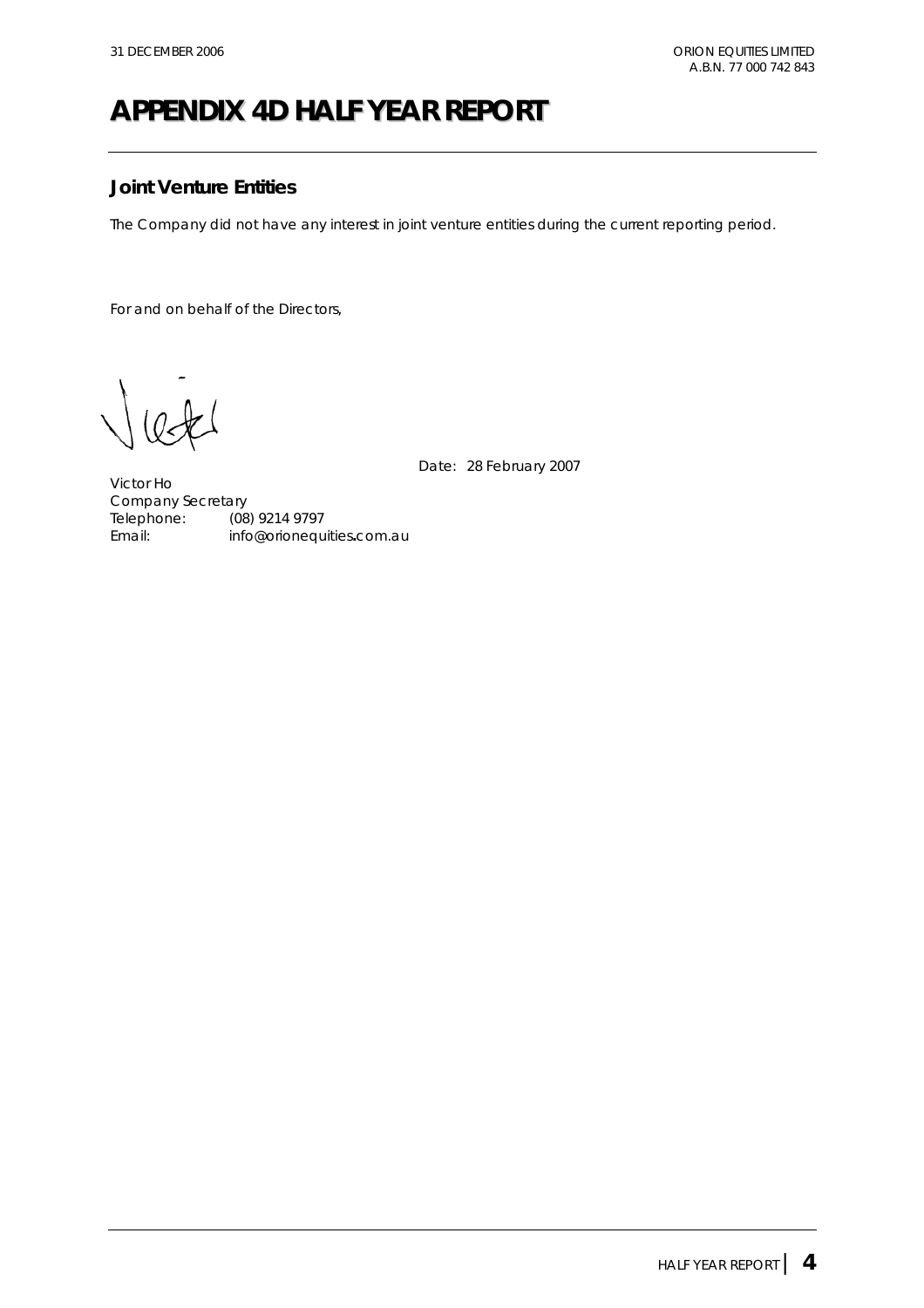## **APPENDIX 4D HALF YEAR REPORT**

### **Joint Venture Entities**

The Company did not have any interest in joint venture entities during the current reporting period.

For and on behalf of the Directors,

Date: 28 February 2007

Victor Ho Company Secretary Telephone: (08) 9214 9797 Email: info@orionequities**.**com.au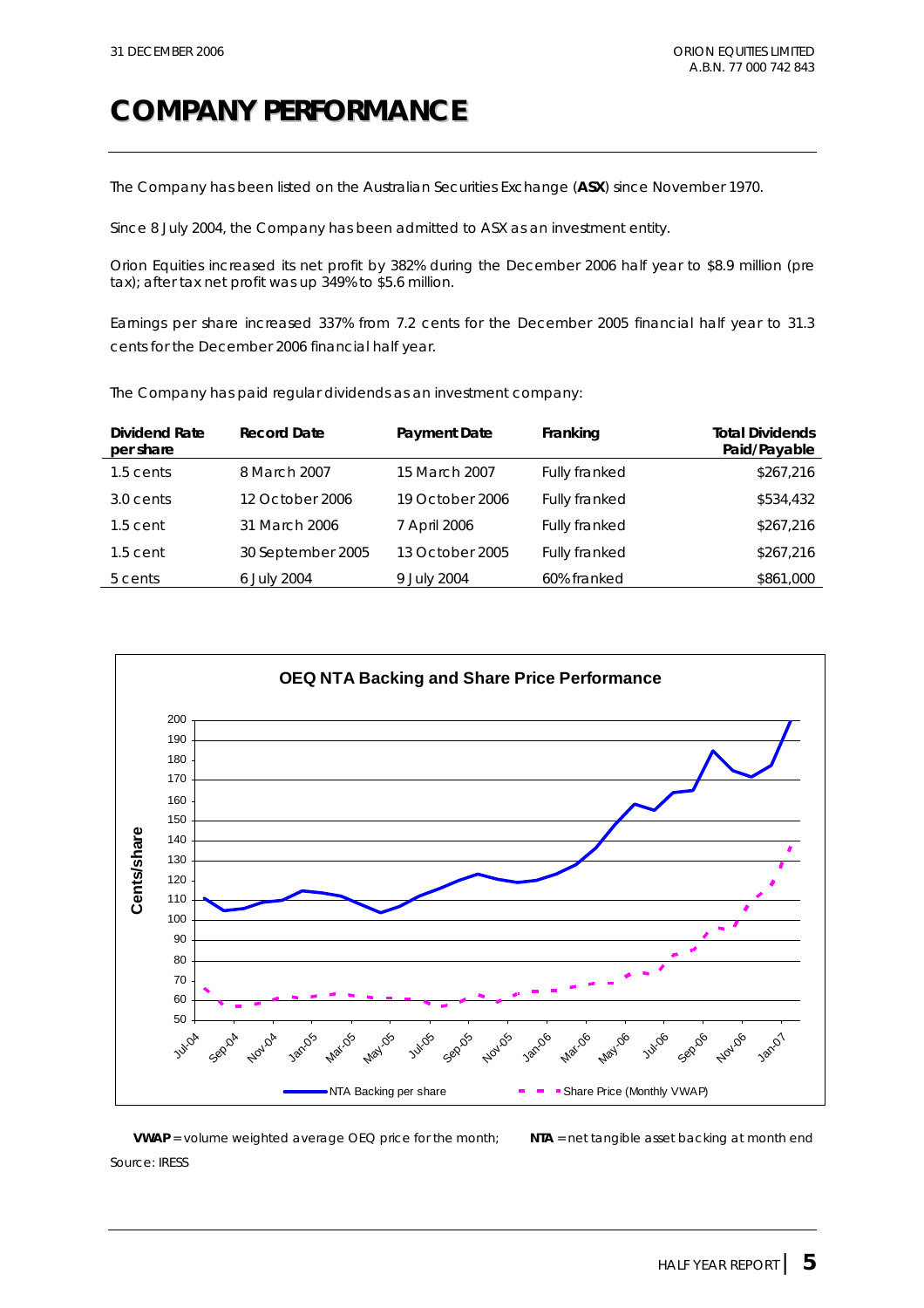## **COMPANY PERFORMANCE**

The Company has been listed on the Australian Securities Exchange (**ASX**) since November 1970.

Since 8 July 2004, the Company has been admitted to ASX as an investment entity.

Orion Equities increased its net profit by 382% during the December 2006 half year to \$8.9 million (pre tax); after tax net profit was up 349% to \$5.6 million.

Earnings per share increased 337% from 7.2 cents for the December 2005 financial half year to 31.3 cents for the December 2006 financial half year.

| <b>Dividend Rate</b><br>per share | <b>Record Date</b> | <b>Payment Date</b> | Franking             | <b>Total Dividends</b><br>Paid/Payable |
|-----------------------------------|--------------------|---------------------|----------------------|----------------------------------------|
| 1.5 cents                         | 8 March 2007       | 15 March 2007       | Fully franked        | \$267,216                              |
| 3.0 cents                         | 12 October 2006    | 19 October 2006     | Fully franked        | \$534,432                              |
| $1.5$ cent                        | 31 March 2006      | 7 April 2006        | <b>Fully franked</b> | \$267,216                              |
| $1.5$ cent                        | 30 September 2005  | 13 October 2005     | Fully franked        | \$267,216                              |
| 5 cents                           | 6 July 2004        | 9 July 2004         | 60% franked          | \$861,000                              |

The Company has paid regular dividends as an investment company:



**VWAP** = volume weighted average OEQ price for the month; **NTA** = net tangible asset backing at month end *Source: IRESS*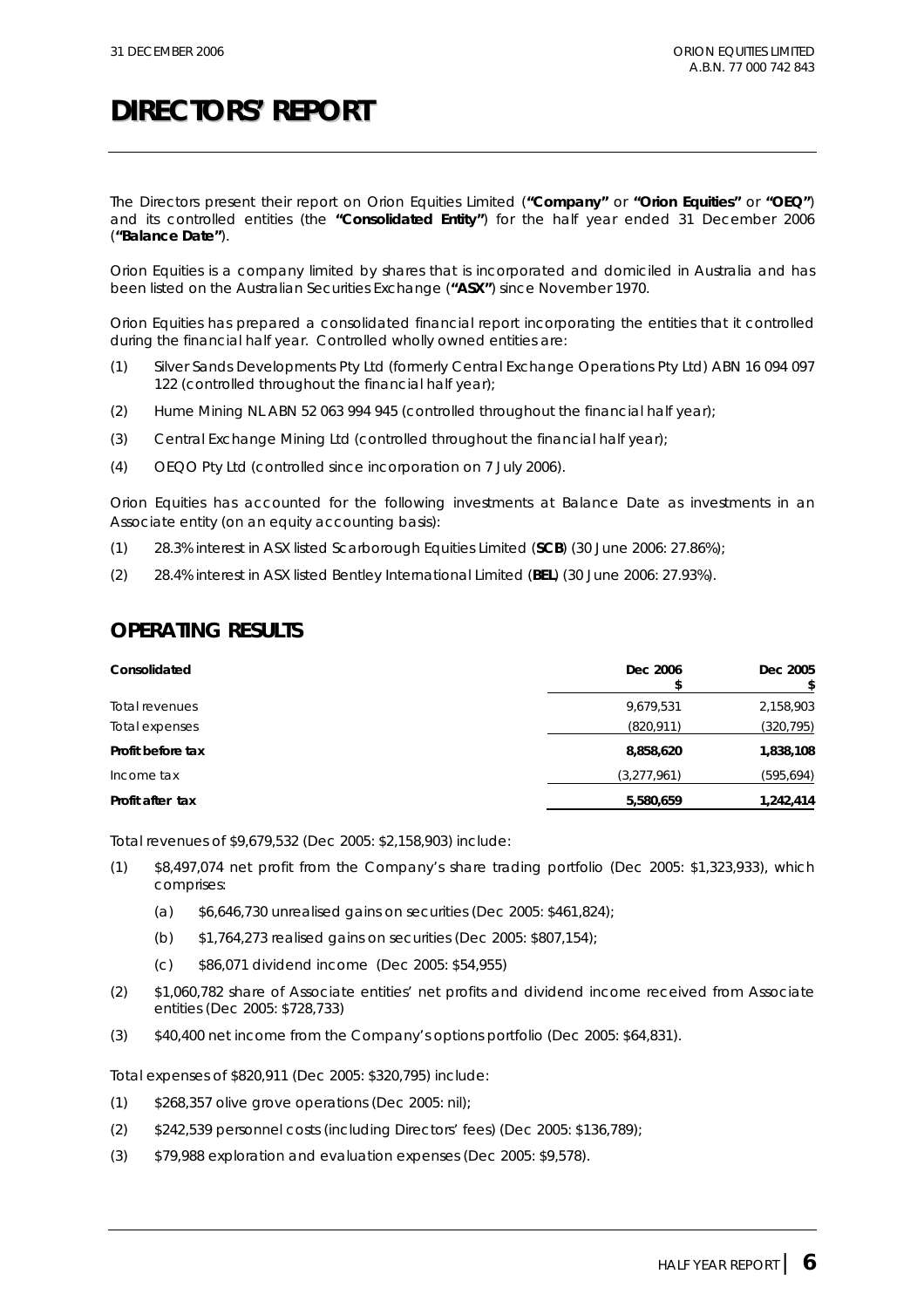The Directors present their report on Orion Equities Limited (**"Company"** or **"Orion Equities"** or **"OEQ"**) and its controlled entities (the **"Consolidated Entity"**) for the half year ended 31 December 2006 (**"Balance Date"**).

Orion Equities is a company limited by shares that is incorporated and domiciled in Australia and has been listed on the Australian Securities Exchange (**"ASX"**) since November 1970.

Orion Equities has prepared a consolidated financial report incorporating the entities that it controlled during the financial half year. Controlled wholly owned entities are:

- (1) Silver Sands Developments Pty Ltd (formerly Central Exchange Operations Pty Ltd) ABN 16 094 097 122 (controlled throughout the financial half year);
- (2) Hume Mining NL ABN 52 063 994 945 (controlled throughout the financial half year);
- (3) Central Exchange Mining Ltd (controlled throughout the financial half year);
- (4) OEQO Pty Ltd (controlled since incorporation on 7 July 2006).

Orion Equities has accounted for the following investments at Balance Date as investments in an Associate entity (on an equity accounting basis):

- (1) 28.3% interest in ASX listed Scarborough Equities Limited (**SCB**) (30 June 2006: 27.86%);
- (2) 28.4% interest in ASX listed Bentley International Limited (**BEL**) (30 June 2006: 27.93%).

### **OPERATING RESULTS**

| Consolidated      | Dec 2006    | Dec 2005   |
|-------------------|-------------|------------|
| Total revenues    | 9,679,531   | 2,158,903  |
| Total expenses    | (820, 911)  | (320, 795) |
| Profit before tax | 8,858,620   | 1,838,108  |
| Income tax        | (3,277,961) | (595, 694) |
| Profit after tax  | 5,580,659   | 1,242,414  |

Total revenues of \$9,679,532 (Dec 2005: \$2,158,903) include:

- (1) \$8,497,074 net profit from the Company's share trading portfolio (Dec 2005: \$1,323,933), which comprises:
	- (a) \$6,646,730 unrealised gains on securities (Dec 2005: \$461,824);
	- (b) \$1,764,273 realised gains on securities (Dec 2005: \$807,154);
	- (c) \$86,071 dividend income (Dec 2005: \$54,955)
- (2) \$1,060,782 share of Associate entities' net profits and dividend income received from Associate entities (Dec 2005: \$728,733)
- (3) \$40,400 net income from the Company's options portfolio (Dec 2005: \$64,831).

Total expenses of \$820,911 (Dec 2005: \$320,795) include:

- $(1)$  \$268,357 olive grove operations (Dec 2005: nil);
- (2) \$242,539 personnel costs (including Directors' fees) (Dec 2005: \$136,789);
- (3) \$79,988 exploration and evaluation expenses (Dec 2005: \$9,578).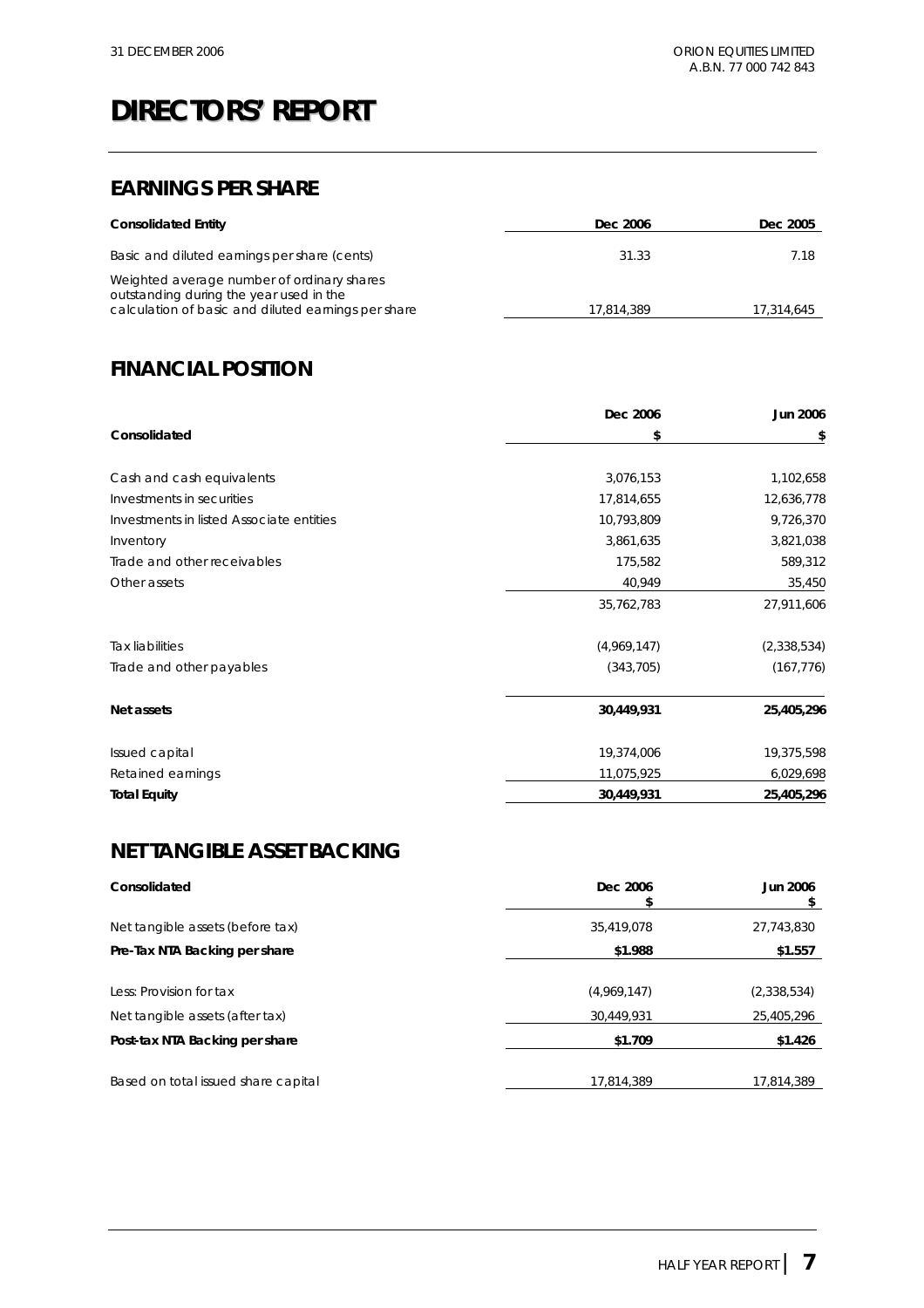## **EARNINGS PER SHARE**

| <b>Consolidated Entity</b>                                                                                                                   | Dec 2006   | Dec 2005   |
|----------------------------------------------------------------------------------------------------------------------------------------------|------------|------------|
| Basic and diluted earnings per share (cents)                                                                                                 | 31.33      | 7.18       |
| Weighted average number of ordinary shares<br>outstanding during the year used in the<br>calculation of basic and diluted earnings per share | 17.814.389 | 17,314,645 |

## **FINANCIAL POSITION**

|                                          | Dec 2006    | <b>Jun 2006</b> |
|------------------------------------------|-------------|-----------------|
| Consolidated                             | \$          | \$              |
|                                          |             |                 |
| Cash and cash equivalents                | 3,076,153   | 1,102,658       |
| Investments in securities                | 17,814,655  | 12,636,778      |
| Investments in listed Associate entities | 10,793,809  | 9,726,370       |
| Inventory                                | 3,861,635   | 3,821,038       |
| Trade and other receivables              | 175,582     | 589,312         |
| Other assets                             | 40,949      | 35,450          |
|                                          | 35,762,783  | 27,911,606      |
| <b>Tax liabilities</b>                   | (4,969,147) | (2,338,534)     |
| Trade and other payables                 | (343, 705)  | (167, 776)      |
| Net assets                               | 30,449,931  | 25,405,296      |
| Issued capital                           | 19,374,006  | 19,375,598      |
| Retained earnings                        | 11,075,925  | 6,029,698       |
| <b>Total Equity</b>                      | 30,449,931  | 25,405,296      |

## **NET TANGIBLE ASSET BACKING**

| Consolidated                        | Dec 2006    | <b>Jun 2006</b> |
|-------------------------------------|-------------|-----------------|
| Net tangible assets (before tax)    | 35,419,078  | 27,743,830      |
| Pre-Tax NTA Backing per share       | \$1.988     | \$1.557         |
|                                     |             |                 |
| Less: Provision for tax             | (4,969,147) | (2,338,534)     |
| Net tangible assets (after tax)     | 30,449,931  | 25,405,296      |
| Post-tax NTA Backing per share      | \$1.709     | \$1.426         |
|                                     |             |                 |
| Based on total issued share capital | 17,814,389  | 17,814,389      |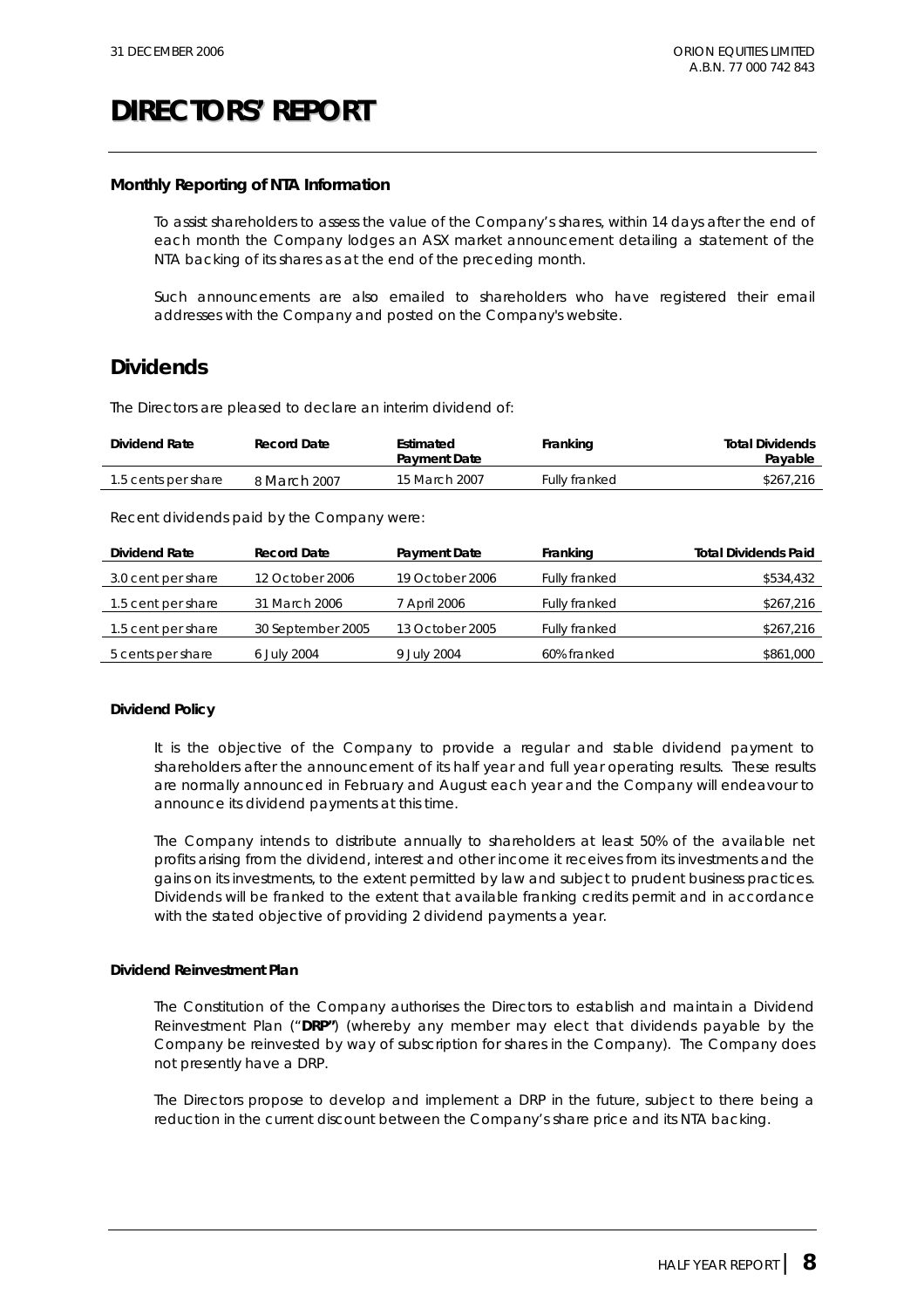#### **Monthly Reporting of NTA Information**

To assist shareholders to assess the value of the Company's shares, within 14 days after the end of each month the Company lodges an ASX market announcement detailing a statement of the NTA backing of its shares as at the end of the preceding month.

Such announcements are also emailed to shareholders who have registered their email addresses with the Company and posted on the Company's website.

### **Dividends**

The Directors are pleased to declare an interim dividend of:

| Dividend Rate       | Record Date  | Estimated<br><b>Payment Date</b> | Franking      | <b>Total Dividends</b><br>Payable |
|---------------------|--------------|----------------------------------|---------------|-----------------------------------|
| 1.5 cents per share | 8 March 2007 | 15 March 2007                    | Fully franked | \$267.216                         |

Recent dividends paid by the Company were:

| <b>Dividend Rate</b> | <b>Record Date</b> | <b>Payment Date</b> | Franking             | <b>Total Dividends Paid</b> |
|----------------------|--------------------|---------------------|----------------------|-----------------------------|
| 3.0 cent per share   | 12 October 2006    | 19 October 2006     | <b>Fully franked</b> | \$534,432                   |
| 1.5 cent per share   | 31 March 2006      | 7 April 2006        | Fully franked        | \$267,216                   |
| 1.5 cent per share   | 30 September 2005  | 13 October 2005     | Fully franked        | \$267,216                   |
| 5 cents per share    | 6 July 2004        | 9 July 2004         | 60% franked          | \$861,000                   |

#### **Dividend Policy**

It is the objective of the Company to provide a regular and stable dividend payment to shareholders after the announcement of its half year and full year operating results. These results are normally announced in February and August each year and the Company will endeavour to announce its dividend payments at this time.

The Company intends to distribute annually to shareholders at least 50% of the available net profits arising from the dividend, interest and other income it receives from its investments and the gains on its investments, to the extent permitted by law and subject to prudent business practices. Dividends will be franked to the extent that available franking credits permit and in accordance with the stated objective of providing 2 dividend payments a year.

#### **Dividend Reinvestment Plan**

The Constitution of the Company authorises the Directors to establish and maintain a Dividend Reinvestment Plan ("**DRP"**) (whereby any member may elect that dividends payable by the Company be reinvested by way of subscription for shares in the Company). The Company does not presently have a DRP.

The Directors propose to develop and implement a DRP in the future, subject to there being a reduction in the current discount between the Company's share price and its NTA backing.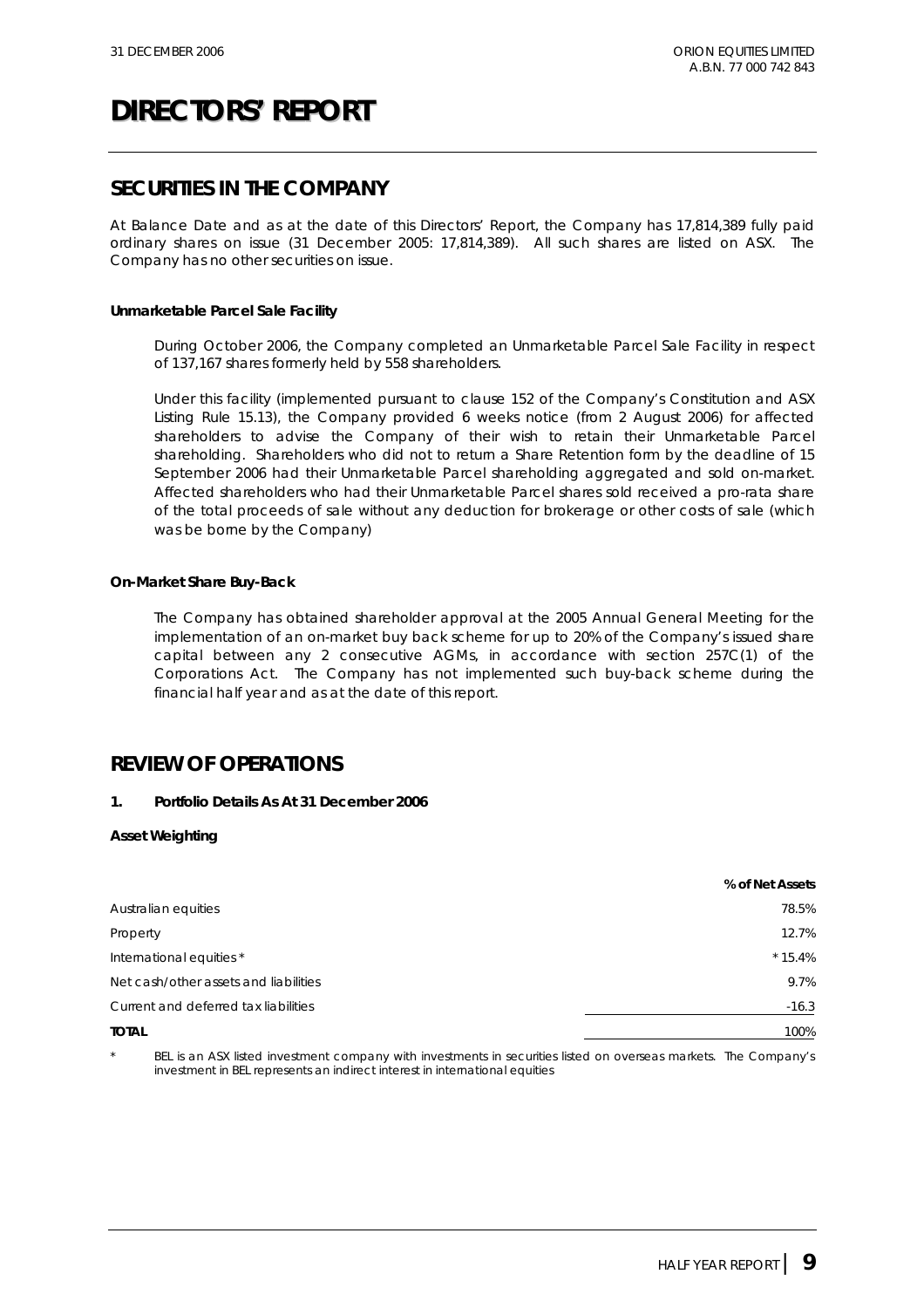### **SECURITIES IN THE COMPANY**

At Balance Date and as at the date of this Directors' Report, the Company has 17,814,389 fully paid ordinary shares on issue (31 December 2005: 17,814,389). All such shares are listed on ASX. The Company has no other securities on issue.

#### **Unmarketable Parcel Sale Facility**

During October 2006, the Company completed an Unmarketable Parcel Sale Facility in respect of 137,167 shares formerly held by 558 shareholders.

Under this facility (implemented pursuant to clause 152 of the Company's Constitution and ASX Listing Rule 15.13), the Company provided 6 weeks notice (from 2 August 2006) for affected shareholders to advise the Company of their wish to retain their Unmarketable Parcel shareholding. Shareholders who did not to return a Share Retention form by the deadline of 15 September 2006 had their Unmarketable Parcel shareholding aggregated and sold on-market. Affected shareholders who had their Unmarketable Parcel shares sold received a pro-rata share of the total proceeds of sale without any deduction for brokerage or other costs of sale (which was be borne by the Company)

#### **On-Market Share Buy-Back**

The Company has obtained shareholder approval at the 2005 Annual General Meeting for the implementation of an on-market buy back scheme for up to 20% of the Company's issued share capital between any 2 consecutive AGMs, in accordance with section 257C(1) of the Corporations Act. The Company has not implemented such buy-back scheme during the financial half year and as at the date of this report.

### **REVIEW OF OPERATIONS**

#### **1. Portfolio Details As At 31 December 2006**

#### **Asset Weighting**

|                                       | % of Net Assets |
|---------------------------------------|-----------------|
| Australian equities                   | 78.5%           |
| Property                              | 12.7%           |
| International equities *              | $*15.4%$        |
| Net cash/other assets and liabilities | 9.7%            |
| Current and deferred tax liabilities  | $-16.3$         |
| <b>TOTAL</b>                          | 100%            |

BEL is an ASX listed investment company with investments in securities listed on overseas markets. The Company's investment in BEL represents an indirect interest in international equities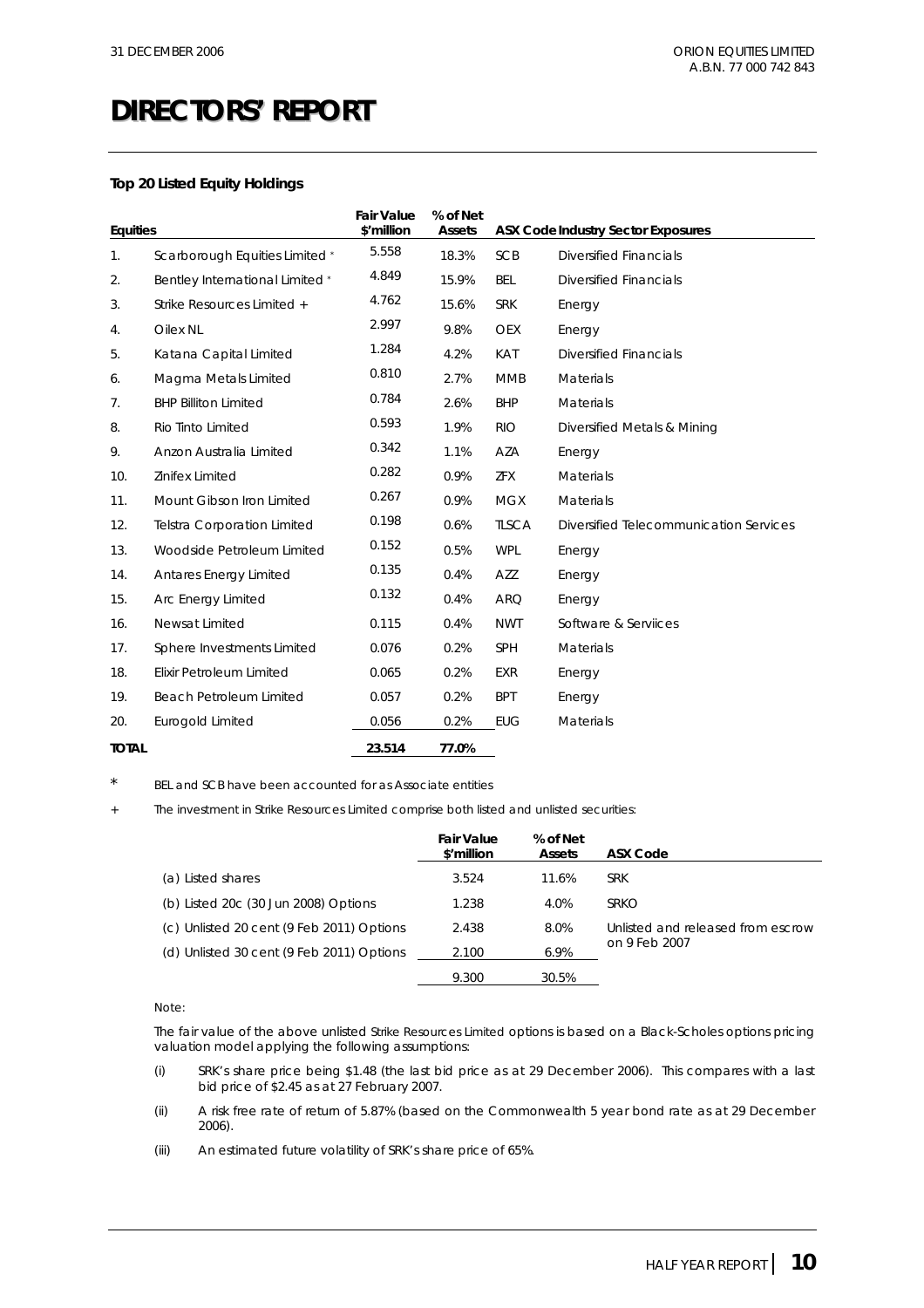#### **Top 20 Listed Equity Holdings**

| <b>Equities</b> |                                        | <b>Fair Value</b><br>\$'million | % of Net<br><b>Assets</b> |              | <b>ASX Code Industry Sector Exposures</b> |
|-----------------|----------------------------------------|---------------------------------|---------------------------|--------------|-------------------------------------------|
| 1.              | Scarborough Equities Limited *         | 5.558                           | 18.3%                     | <b>SCB</b>   | <b>Diversified Financials</b>             |
| 2.              | <b>Bentley International Limited *</b> | 4.849                           | 15.9%                     | <b>BEL</b>   | <b>Diversified Financials</b>             |
| 3.              | Strike Resources Limited +             | 4.762                           | 15.6%                     | <b>SRK</b>   | Energy                                    |
| 4.              | Oilex NL                               | 2.997                           | 9.8%                      | <b>OEX</b>   | Energy                                    |
| 5.              | Katana Capital Limited                 | 1.284                           | 4.2%                      | KAT          | Diversified Financials                    |
| 6.              | Magma Metals Limited                   | 0.810                           | 2.7%                      | <b>MMB</b>   | <b>Materials</b>                          |
| 7.              | <b>BHP Billiton Limited</b>            | 0.784                           | 2.6%                      | <b>BHP</b>   | Materials                                 |
| 8.              | Rio Tinto Limited                      | 0.593                           | 1.9%                      | <b>RIO</b>   | Diversified Metals & Mining               |
| 9.              | Anzon Australia Limited                | 0.342                           | 1.1%                      | AZA          | Energy                                    |
| 10.             | Zinifex Limited                        | 0.282                           | 0.9%                      | ZFX          | <b>Materials</b>                          |
| 11.             | Mount Gibson Iron Limited              | 0.267                           | 0.9%                      | <b>MGX</b>   | Materials                                 |
| 12.             | <b>Telstra Corporation Limited</b>     | 0.198                           | 0.6%                      | <b>TLSCA</b> | Diversified Telecommunication Services    |
| 13.             | Woodside Petroleum Limited             | 0.152                           | 0.5%                      | <b>WPL</b>   | Energy                                    |
| 14.             | <b>Antares Energy Limited</b>          | 0.135                           | 0.4%                      | AZZ          | Energy                                    |
| 15.             | Arc Energy Limited                     | 0.132                           | 0.4%                      | <b>ARQ</b>   | Energy                                    |
| 16.             | Newsat Limited                         | 0.115                           | 0.4%                      | <b>NWT</b>   | Software & Serviices                      |
| 17.             | Sphere Investments Limited             | 0.076                           | 0.2%                      | SPH          | Materials                                 |
| 18.             | Elixir Petroleum Limited               | 0.065                           | 0.2%                      | <b>EXR</b>   | Energy                                    |
| 19.             | Beach Petroleum Limited                | 0.057                           | 0.2%                      | <b>BPT</b>   | Energy                                    |
| 20.             | Eurogold Limited                       | 0.056                           | 0.2%                      | <b>EUG</b>   | <b>Materials</b>                          |
| <b>TOTAL</b>    |                                        | 23.514                          | 77.0%                     |              |                                           |

BEL and SCB have been accounted for as Associate entities

The investment in Strike Resources Limited comprise both listed and unlisted securities:

|                                           | Fair Value<br>\$'million | % of Net<br><b>Assets</b> | ASX Code                          |
|-------------------------------------------|--------------------------|---------------------------|-----------------------------------|
| (a) Listed shares                         | 3.524                    | 11.6%                     | <b>SRK</b>                        |
| (b) Listed 20c (30 Jun 2008) Options      | 1.238                    | 4.0%                      | <b>SRKO</b>                       |
| (c) Unlisted 20 cent (9 Feb 2011) Options | 2.438                    | 8.0%                      | Unlisted and released from escrow |
| (d) Unlisted 30 cent (9 Feb 2011) Options | 2.100                    | 6.9%                      | on 9 Feb 2007                     |
|                                           | 9.300                    | 30.5%                     |                                   |

#### Note:

The fair value of the above unlisted Strike Resources Limited options is based on a Black-Scholes options pricing valuation model applying the following assumptions:

- (i) SRK's share price being \$1.48 (the last bid price as at 29 December 2006). This compares with a last bid price of \$2.45 as at 27 February 2007.
- (ii) A risk free rate of return of 5.87% (based on the Commonwealth 5 year bond rate as at 29 December 2006).
- (iii) An estimated future volatility of SRK's share price of 65%.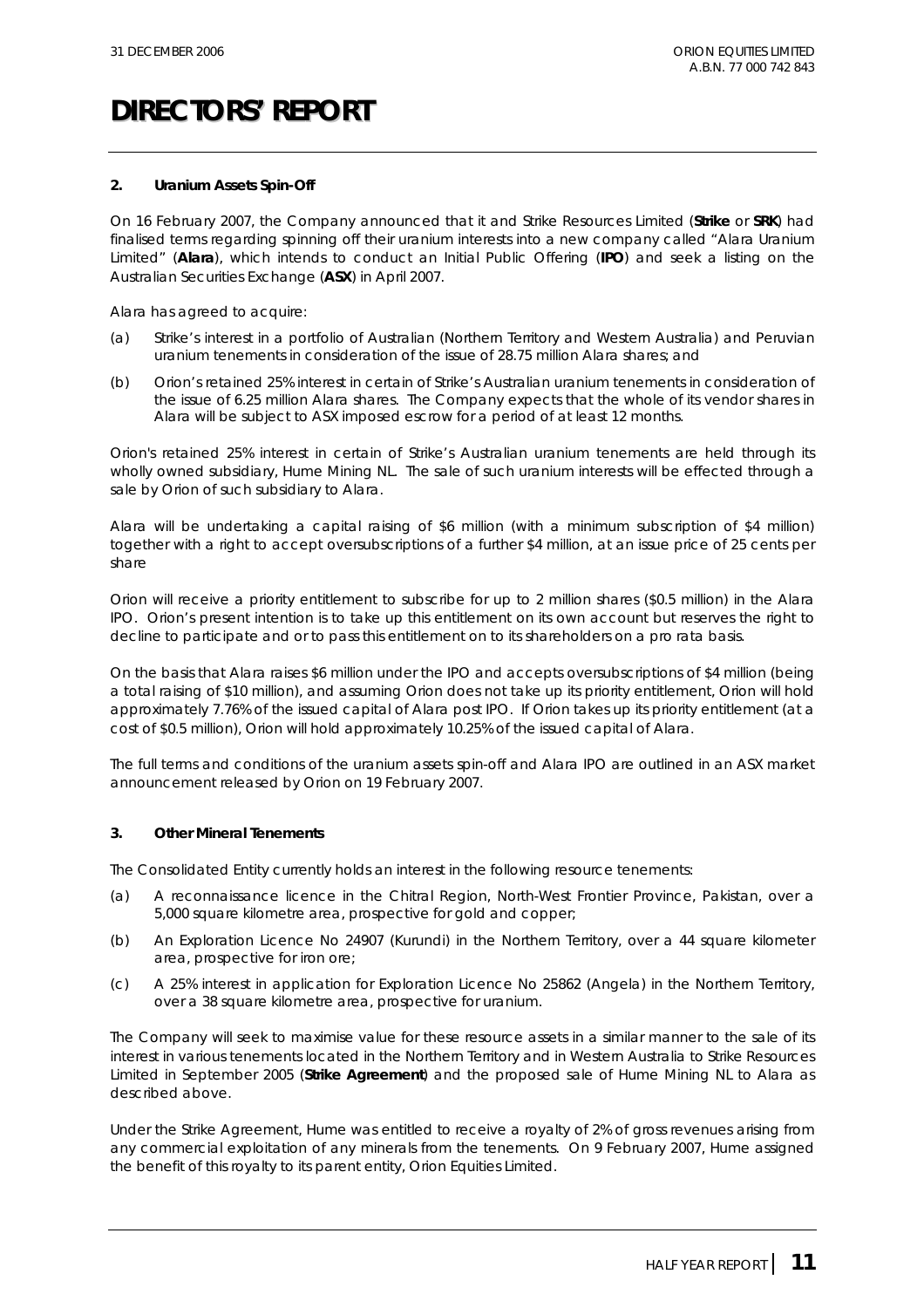#### **2. Uranium Assets Spin-Off**

On 16 February 2007, the Company announced that it and Strike Resources Limited (**Strike** or **SRK**) had finalised terms regarding spinning off their uranium interests into a new company called "Alara Uranium Limited" (**Alara**), which intends to conduct an Initial Public Offering (**IPO**) and seek a listing on the Australian Securities Exchange (**ASX**) in April 2007.

Alara has agreed to acquire:

- (a) Strike's interest in a portfolio of Australian (Northern Territory and Western Australia) and Peruvian uranium tenements in consideration of the issue of 28.75 million Alara shares; and
- (b) Orion's retained 25% interest in certain of Strike's Australian uranium tenements in consideration of the issue of 6.25 million Alara shares. The Company expects that the whole of its vendor shares in Alara will be subject to ASX imposed escrow for a period of at least 12 months.

Orion's retained 25% interest in certain of Strike's Australian uranium tenements are held through its wholly owned subsidiary, Hume Mining NL. The sale of such uranium interests will be effected through a sale by Orion of such subsidiary to Alara.

Alara will be undertaking a capital raising of \$6 million (with a minimum subscription of \$4 million) together with a right to accept oversubscriptions of a further \$4 million, at an issue price of 25 cents per share

Orion will receive a priority entitlement to subscribe for up to 2 million shares (\$0.5 million) in the Alara IPO. Orion's present intention is to take up this entitlement on its own account but reserves the right to decline to participate and or to pass this entitlement on to its shareholders on a pro rata basis.

On the basis that Alara raises \$6 million under the IPO and accepts oversubscriptions of \$4 million (being a total raising of \$10 million), and assuming Orion does not take up its priority entitlement, Orion will hold approximately 7.76% of the issued capital of Alara post IPO. If Orion takes up its priority entitlement (at a cost of \$0.5 million), Orion will hold approximately 10.25% of the issued capital of Alara.

The full terms and conditions of the uranium assets spin-off and Alara IPO are outlined in an ASX market announcement released by Orion on 19 February 2007.

#### **3. Other Mineral Tenements**

The Consolidated Entity currently holds an interest in the following resource tenements:

- (a) A reconnaissance licence in the Chitral Region, North-West Frontier Province, Pakistan, over a 5,000 square kilometre area, prospective for gold and copper;
- (b) An Exploration Licence No 24907 (Kurundi) in the Northern Territory, over a 44 square kilometer area, prospective for iron ore;
- (c) A 25% interest in application for Exploration Licence No 25862 (Angela) in the Northern Territory, over a 38 square kilometre area, prospective for uranium.

The Company will seek to maximise value for these resource assets in a similar manner to the sale of its interest in various tenements located in the Northern Territory and in Western Australia to Strike Resources Limited in September 2005 (**Strike Agreement**) and the proposed sale of Hume Mining NL to Alara as described above.

Under the Strike Agreement, Hume was entitled to receive a royalty of 2% of gross revenues arising from any commercial exploitation of any minerals from the tenements. On 9 February 2007, Hume assigned the benefit of this royalty to its parent entity, Orion Equities Limited.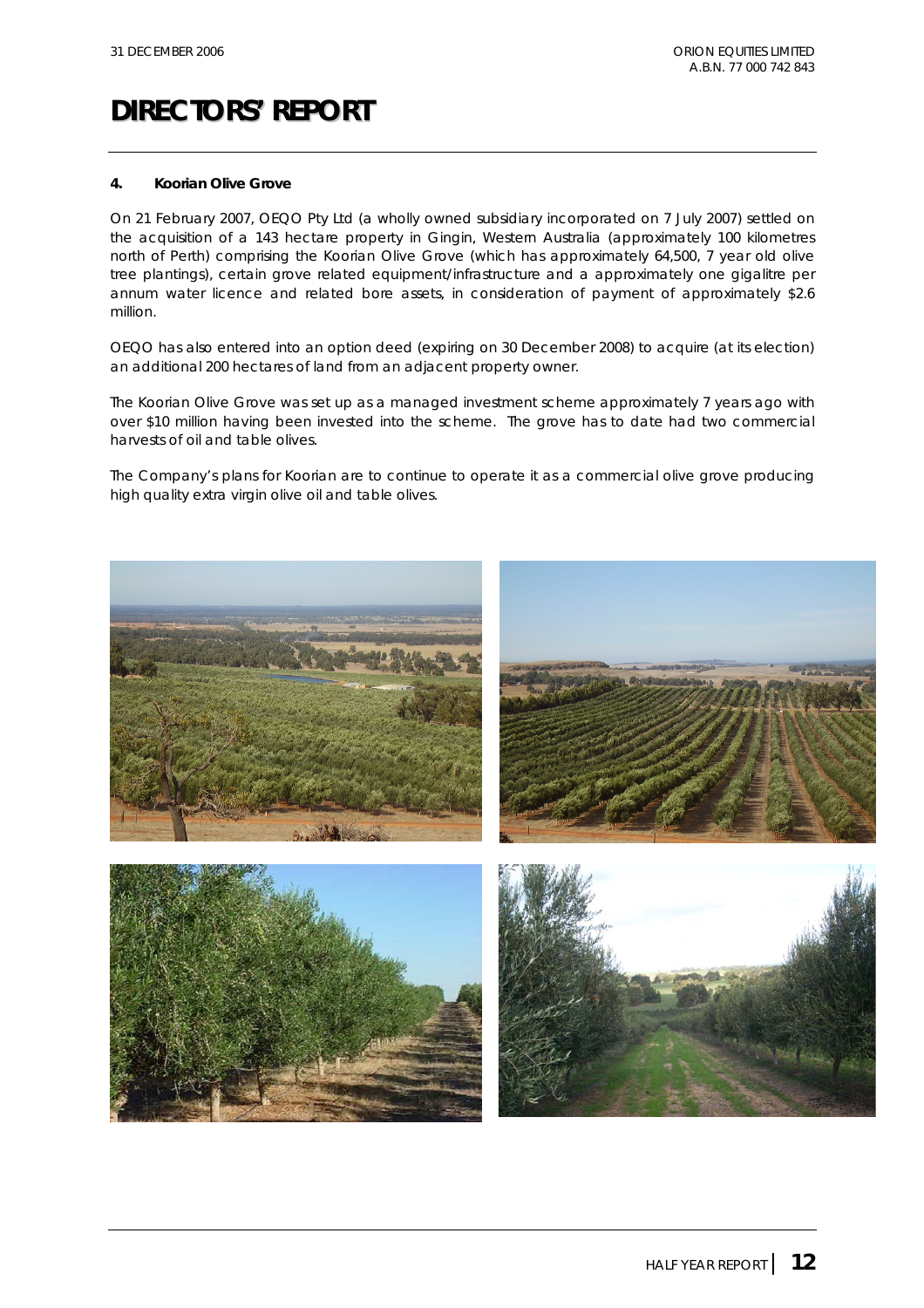#### **4. Koorian Olive Grove**

On 21 February 2007, OEQO Pty Ltd (a wholly owned subsidiary incorporated on 7 July 2007) settled on the acquisition of a 143 hectare property in Gingin, Western Australia (approximately 100 kilometres north of Perth) comprising the Koorian Olive Grove (which has approximately 64,500, 7 year old olive tree plantings), certain grove related equipment/infrastructure and a approximately one gigalitre per annum water licence and related bore assets, in consideration of payment of approximately \$2.6 million.

OEQO has also entered into an option deed (expiring on 30 December 2008) to acquire (at its election) an additional 200 hectares of land from an adjacent property owner.

The Koorian Olive Grove was set up as a managed investment scheme approximately 7 years ago with over \$10 million having been invested into the scheme. The grove has to date had two commercial harvests of oil and table olives.

The Company's plans for Koorian are to continue to operate it as a commercial olive grove producing high quality extra virgin olive oil and table olives.

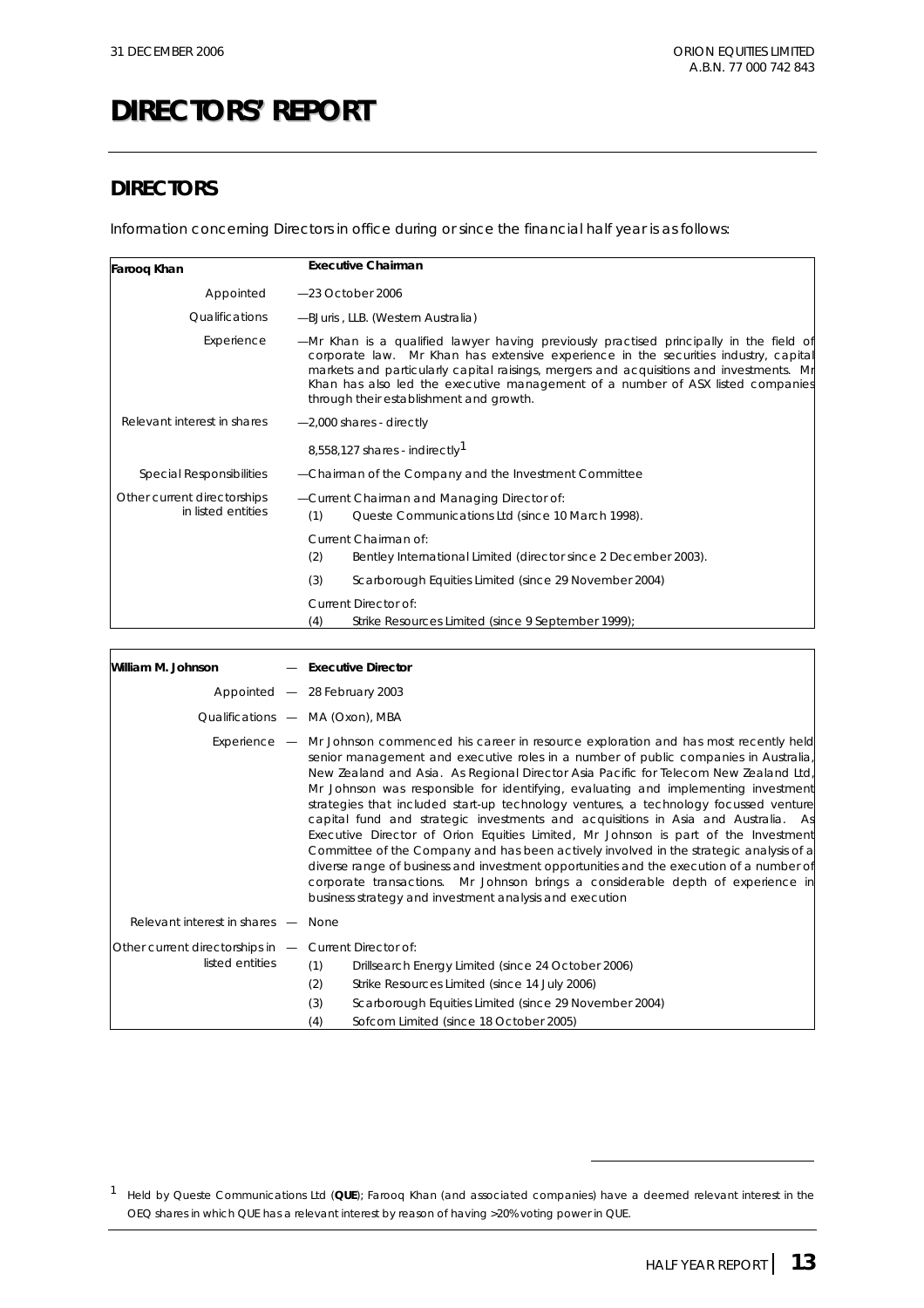## **DIRECTORS**

Information concerning Directors in office during or since the financial half year is as follows:

| Faroog Khan                                       | <b>Executive Chairman</b>                                                                                                                                                                                                                                                                                                                                                                             |
|---------------------------------------------------|-------------------------------------------------------------------------------------------------------------------------------------------------------------------------------------------------------------------------------------------------------------------------------------------------------------------------------------------------------------------------------------------------------|
| Appointed                                         | $-23$ October 2006                                                                                                                                                                                                                                                                                                                                                                                    |
| <i><b>Oualifications</b></i>                      | -BJuris, LLB. (Western Australia)                                                                                                                                                                                                                                                                                                                                                                     |
| Experience                                        | -Mr Khan is a qualified lawyer having previously practised principally in the field of<br>corporate law. Mr Khan has extensive experience in the securities industry, capital<br>markets and particularly capital raisings, mergers and acquisitions and investments. Mr<br>Khan has also led the executive management of a number of ASX listed companies<br>through their establishment and growth. |
| Relevant interest in shares                       | $-2,000$ shares - directly                                                                                                                                                                                                                                                                                                                                                                            |
|                                                   | 8,558,127 shares - indirectly <sup>1</sup>                                                                                                                                                                                                                                                                                                                                                            |
| <b>Special Responsibilities</b>                   | -Chairman of the Company and the Investment Committee                                                                                                                                                                                                                                                                                                                                                 |
| Other current directorships<br>in listed entities | -Current Chairman and Managing Director of:<br>(1)<br>Queste Communications Ltd (since 10 March 1998).                                                                                                                                                                                                                                                                                                |
|                                                   | Current Chairman of:                                                                                                                                                                                                                                                                                                                                                                                  |
|                                                   | (2)<br>Bentley International Limited (director since 2 December 2003).                                                                                                                                                                                                                                                                                                                                |
|                                                   | (3)<br>Scarborough Equities Limited (since 29 November 2004)                                                                                                                                                                                                                                                                                                                                          |
|                                                   | Current Director of:                                                                                                                                                                                                                                                                                                                                                                                  |
|                                                   | (4)<br>Strike Resources Limited (since 9 September 1999);                                                                                                                                                                                                                                                                                                                                             |

| William M. Johnson                                                         | $-$ Executive Director                                                                                                                                                                                                                                                                                                                                                                                                                                                                                                                                                                                                                                                                                                                                                                                                                                                                                                                                                       |
|----------------------------------------------------------------------------|------------------------------------------------------------------------------------------------------------------------------------------------------------------------------------------------------------------------------------------------------------------------------------------------------------------------------------------------------------------------------------------------------------------------------------------------------------------------------------------------------------------------------------------------------------------------------------------------------------------------------------------------------------------------------------------------------------------------------------------------------------------------------------------------------------------------------------------------------------------------------------------------------------------------------------------------------------------------------|
|                                                                            | Appointed - 28 February 2003                                                                                                                                                                                                                                                                                                                                                                                                                                                                                                                                                                                                                                                                                                                                                                                                                                                                                                                                                 |
|                                                                            | Qualifications - MA (Oxon), MBA                                                                                                                                                                                                                                                                                                                                                                                                                                                                                                                                                                                                                                                                                                                                                                                                                                                                                                                                              |
|                                                                            | $Experience$ — Mr Johnson commenced his career in resource exploration and has most recently held<br>senior management and executive roles in a number of public companies in Australia,<br>New Zealand and Asia. As Regional Director Asia Pacific for Telecom New Zealand Ltd,<br>Mr Johnson was responsible for identifying, evaluating and implementing investment<br>strategies that included start-up technology ventures, a technology focussed venture<br>capital fund and strategic investments and acquisitions in Asia and Australia. As<br>Executive Director of Orion Equities Limited, Mr Johnson is part of the Investment<br>Committee of the Company and has been actively involved in the strategic analysis of a<br>diverse range of business and investment opportunities and the execution of a number of<br>corporate transactions. Mr Johnson brings a considerable depth of experience in<br>business strategy and investment analysis and execution |
| Relevant interest in shares - None                                         |                                                                                                                                                                                                                                                                                                                                                                                                                                                                                                                                                                                                                                                                                                                                                                                                                                                                                                                                                                              |
| Other current directorships in $-$ Current Director of:<br>listed entities | (1)<br>Drillsearch Energy Limited (since 24 October 2006)<br>(2)<br>Strike Resources Limited (since 14 July 2006)<br>(3)<br>Scarborough Equities Limited (since 29 November 2004)<br>(4)<br>Sofcom Limited (since 18 October 2005)                                                                                                                                                                                                                                                                                                                                                                                                                                                                                                                                                                                                                                                                                                                                           |

1 Held by Queste Communications Ltd (**QUE**); Farooq Khan (and associated companies) have a deemed relevant interest in the OEQ shares in which QUE has a relevant interest by reason of having >20% voting power in QUE.

 $\overline{a}$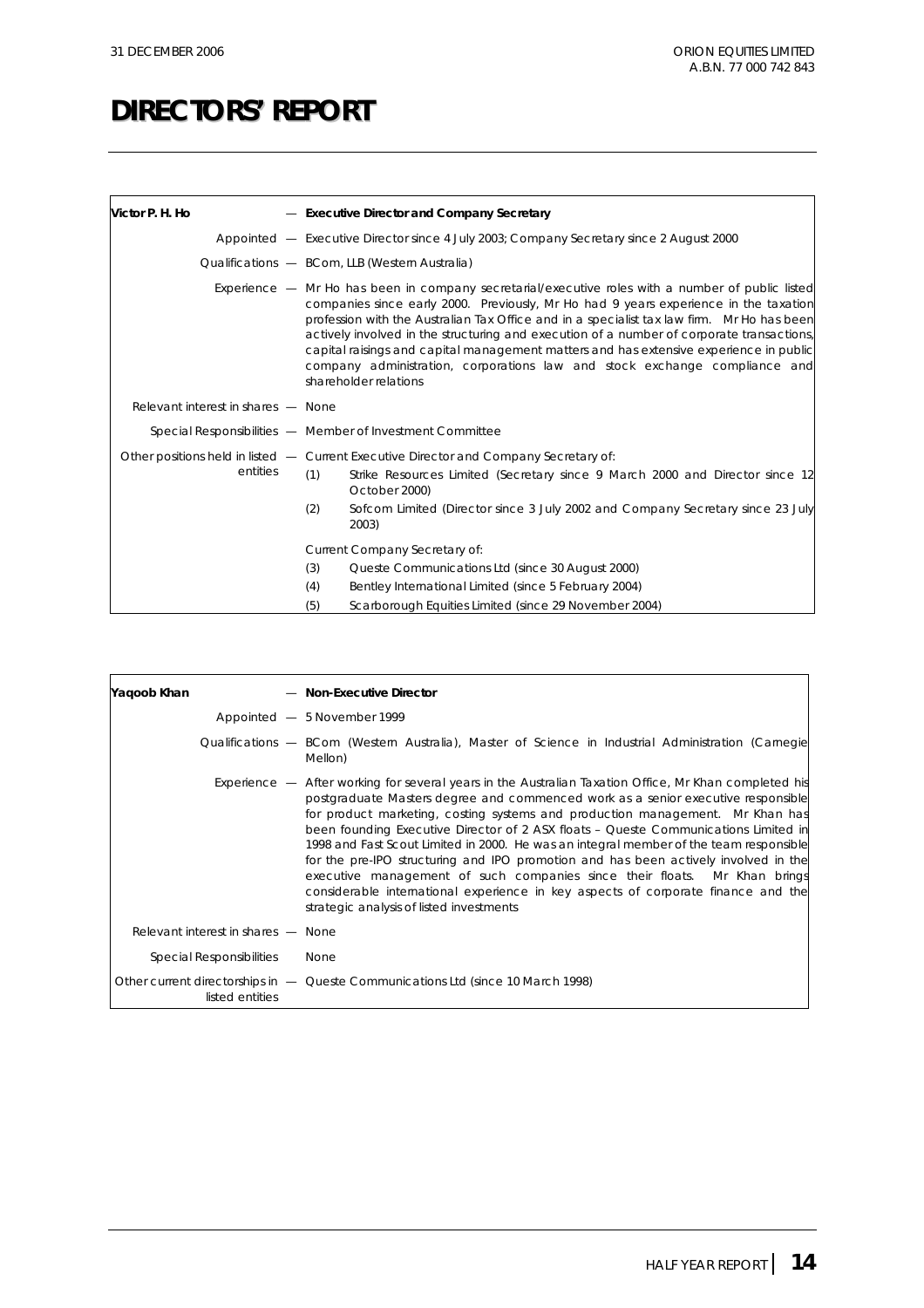| Victor P. H. Ho                    | - Executive Director and Company Secretary                                                                                                                                                                                                                                                                                                                                                                                                                                                                                                                                            |
|------------------------------------|---------------------------------------------------------------------------------------------------------------------------------------------------------------------------------------------------------------------------------------------------------------------------------------------------------------------------------------------------------------------------------------------------------------------------------------------------------------------------------------------------------------------------------------------------------------------------------------|
|                                    | Appointed - Executive Director since 4 July 2003; Company Secretary since 2 August 2000                                                                                                                                                                                                                                                                                                                                                                                                                                                                                               |
|                                    | Qualifications - BCom, LLB (Western Australia)                                                                                                                                                                                                                                                                                                                                                                                                                                                                                                                                        |
|                                    | Experience - Mr Ho has been in company secretarial/executive roles with a number of public listed<br>companies since early 2000. Previously, Mr Ho had 9 years experience in the taxation<br>profession with the Australian Tax Office and in a specialist tax law firm. Mr Ho has been<br>actively involved in the structuring and execution of a number of corporate transactions,<br>capital raisings and capital management matters and has extensive experience in public<br>company administration, corporations law and stock exchange compliance and<br>shareholder relations |
| Relevant interest in shares - None |                                                                                                                                                                                                                                                                                                                                                                                                                                                                                                                                                                                       |
|                                    | Special Responsibilities - Member of Investment Committee                                                                                                                                                                                                                                                                                                                                                                                                                                                                                                                             |
| entities                           | Other positions held in listed — Current Executive Director and Company Secretary of:<br>(1)<br>Strike Resources Limited (Secretary since 9 March 2000 and Director since 12<br>October 2000)<br>(2)<br>Sofcom Limited (Director since 3 July 2002 and Company Secretary since 23 July<br>2003)                                                                                                                                                                                                                                                                                       |
|                                    | Current Company Secretary of:                                                                                                                                                                                                                                                                                                                                                                                                                                                                                                                                                         |
|                                    | (3)<br>Queste Communications Ltd (since 30 August 2000)                                                                                                                                                                                                                                                                                                                                                                                                                                                                                                                               |
|                                    | (4)<br>Bentley International Limited (since 5 February 2004)                                                                                                                                                                                                                                                                                                                                                                                                                                                                                                                          |
|                                    | (5)<br>Scarborough Equities Limited (since 29 November 2004)                                                                                                                                                                                                                                                                                                                                                                                                                                                                                                                          |

| Yaqoob Khan |                                    | - Non-Executive Director                                                                                                                                                                                                                                                                                                                                                                                                                                                                                                                                                                                                                                                                                                                                                  |
|-------------|------------------------------------|---------------------------------------------------------------------------------------------------------------------------------------------------------------------------------------------------------------------------------------------------------------------------------------------------------------------------------------------------------------------------------------------------------------------------------------------------------------------------------------------------------------------------------------------------------------------------------------------------------------------------------------------------------------------------------------------------------------------------------------------------------------------------|
|             |                                    | Appointed - 5 November 1999                                                                                                                                                                                                                                                                                                                                                                                                                                                                                                                                                                                                                                                                                                                                               |
|             |                                    | Qualifications — BCom (Western Australia), Master of Science in Industrial Administration (Carnegie<br>Mellon)                                                                                                                                                                                                                                                                                                                                                                                                                                                                                                                                                                                                                                                            |
|             |                                    | <i>Experience</i> $-$ After working for several years in the Australian Taxation Office, Mr Khan completed his<br>postgraduate Masters degree and commenced work as a senior executive responsible<br>for product marketing, costing systems and production management. Mr Khan has<br>been founding Executive Director of 2 ASX floats - Queste Communications Limited in<br>1998 and Fast Scout Limited in 2000. He was an integral member of the team responsible<br>for the pre-IPO structuring and IPO promotion and has been actively involved in the<br>executive management of such companies since their floats. Mr Khan brings<br>considerable international experience in key aspects of corporate finance and the<br>strategic analysis of listed investments |
|             | Relevant interest in shares - None |                                                                                                                                                                                                                                                                                                                                                                                                                                                                                                                                                                                                                                                                                                                                                                           |
|             | <b>Special Responsibilities</b>    | None                                                                                                                                                                                                                                                                                                                                                                                                                                                                                                                                                                                                                                                                                                                                                                      |
|             | listed entities                    | Other current directorships in - Queste Communications Ltd (since 10 March 1998)                                                                                                                                                                                                                                                                                                                                                                                                                                                                                                                                                                                                                                                                                          |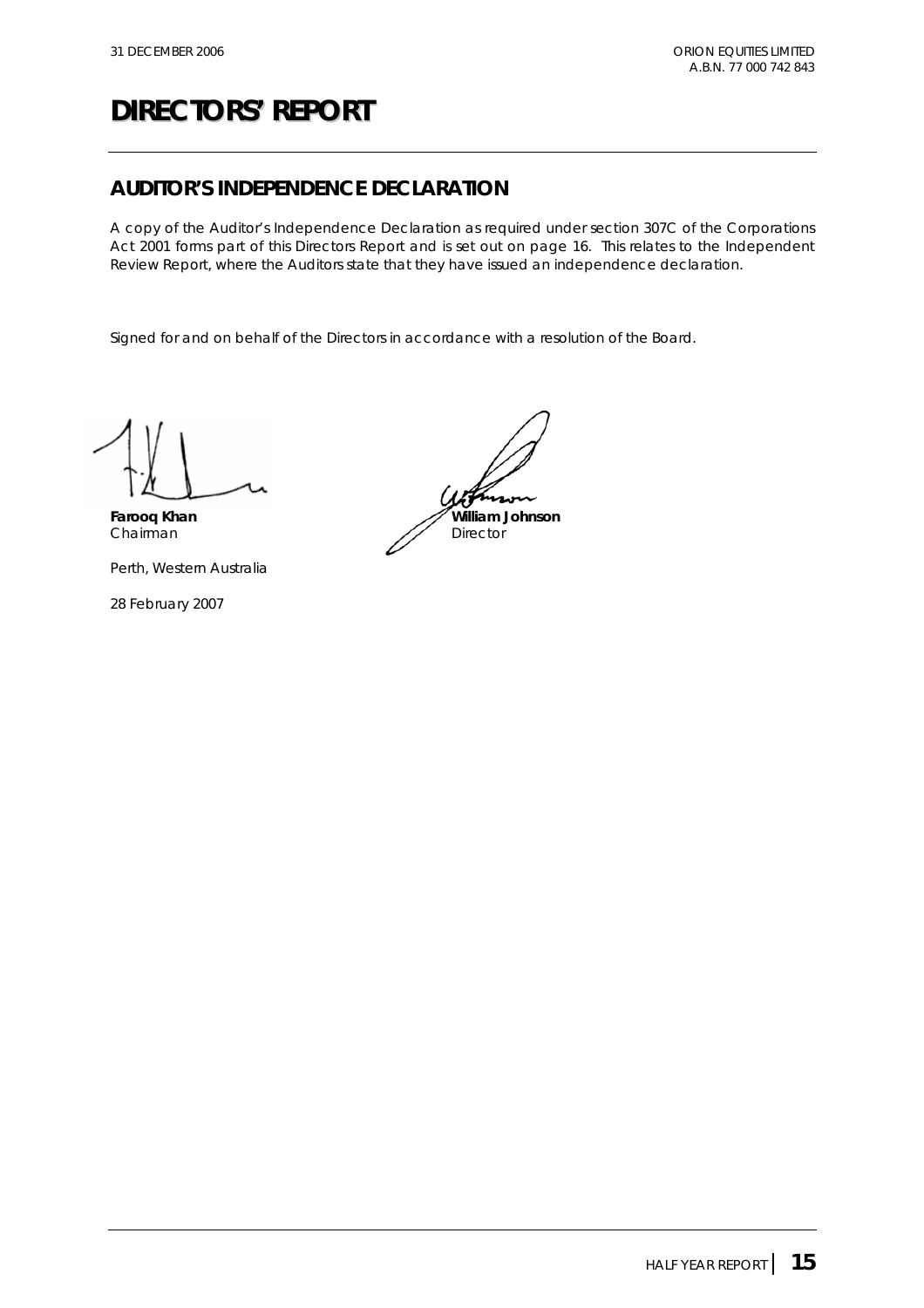## **AUDITOR'S INDEPENDENCE DECLARATION**

A copy of the Auditor's Independence Declaration as required under section 307C of the Corporations Act 2001 forms part of this Directors Report and is set out on page 16. This relates to the Independent Review Report, where the Auditors state that they have issued an independence declaration.

Signed for and on behalf of the Directors in accordance with a resolution of the Board.

Perth, Western Australia

28 February 2007

Farooq Khan **William Johnson** Chairman Director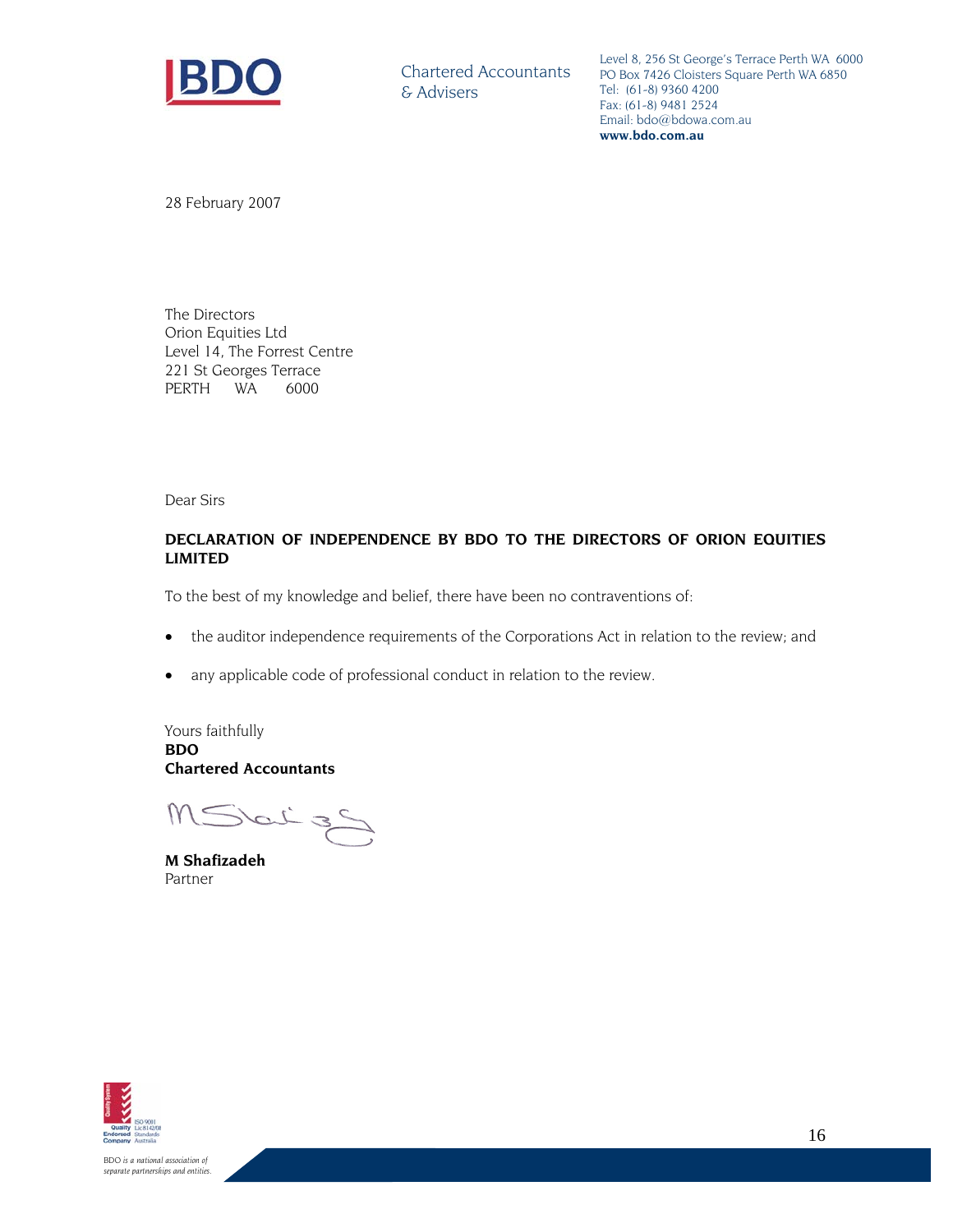

Chartered Accountants & Advisers

Level 8, 256 St George's Terrace Perth WA 6000 PO Box 7426 Cloisters Square Perth WA 6850 Tel: (61-8) 9360 4200 Fax: (61-8) 9481 2524 Email: bdo@bdowa.com.au **www.bdo.com.au** 

28 February 2007

The Directors Orion Equities Ltd Level 14, The Forrest Centre 221 St Georges Terrace PERTH WA 6000

Dear Sirs

#### **DECLARATION OF INDEPENDENCE BY BDO TO THE DIRECTORS OF ORION EQUITIES LIMITED**

To the best of my knowledge and belief, there have been no contraventions of:

- the auditor independence requirements of the Corporations Act in relation to the review; and
- any applicable code of professional conduct in relation to the review.

Yours faithfully **BDO Chartered Accountants** 

MSbitzS

**M Shafizadeh**  Partner



*BDO is a national association of separate partnerships and entities.*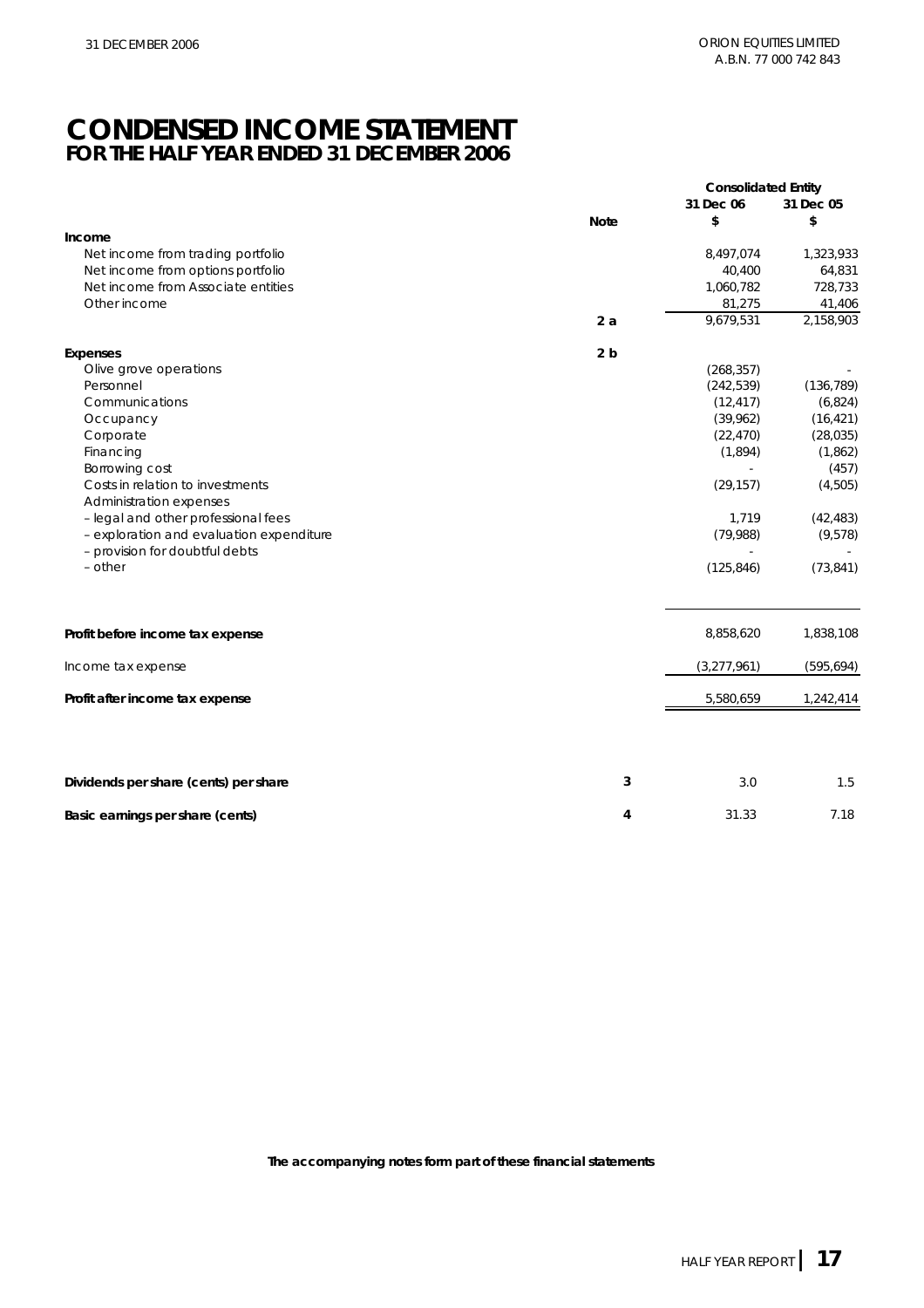## **CONDENSED INCOME STATEMENT FOR THE HALF YEAR ENDED 31 DECEMBER 2006**

|                                          |                | <b>Consolidated Entity</b> |            |
|------------------------------------------|----------------|----------------------------|------------|
|                                          |                | 31 Dec 06                  | 31 Dec 05  |
|                                          | <b>Note</b>    | \$                         | \$         |
| Income                                   |                |                            |            |
| Net income from trading portfolio        |                | 8,497,074                  | 1,323,933  |
| Net income from options portfolio        |                | 40,400                     | 64,831     |
| Net income from Associate entities       |                | 1,060,782                  | 728,733    |
| Other income                             |                | 81,275                     | 41,406     |
|                                          | 2a             | 9,679,531                  | 2,158,903  |
| Expenses                                 | 2 <sub>b</sub> |                            |            |
| Olive grove operations                   |                | (268, 357)                 |            |
| Personnel                                |                | (242, 539)                 | (136, 789) |
| Communications                           |                | (12, 417)                  | (6,824)    |
| Occupancy                                |                | (39,962)                   | (16, 421)  |
| Corporate                                |                | (22, 470)                  | (28, 035)  |
| Financing                                |                | (1,894)                    | (1,862)    |
| Borrowing cost                           |                |                            | (457)      |
| Costs in relation to investments         |                | (29, 157)                  | (4,505)    |
| Administration expenses                  |                |                            |            |
| - legal and other professional fees      |                | 1,719                      | (42, 483)  |
| - exploration and evaluation expenditure |                | (79,988)                   | (9,578)    |
| - provision for doubtful debts           |                |                            |            |
| - other                                  |                | (125, 846)                 | (73, 841)  |
|                                          |                |                            |            |
| Profit before income tax expense         |                | 8,858,620                  | 1,838,108  |
| Income tax expense                       |                | (3, 277, 961)              | (595, 694) |
| Profit after income tax expense          |                | 5,580,659                  | 1,242,414  |
|                                          |                |                            |            |
| Dividends per share (cents) per share    | 3              | 3.0                        | 1.5        |
| Basic earnings per share (cents)         | 4              | 31.33                      | 7.18       |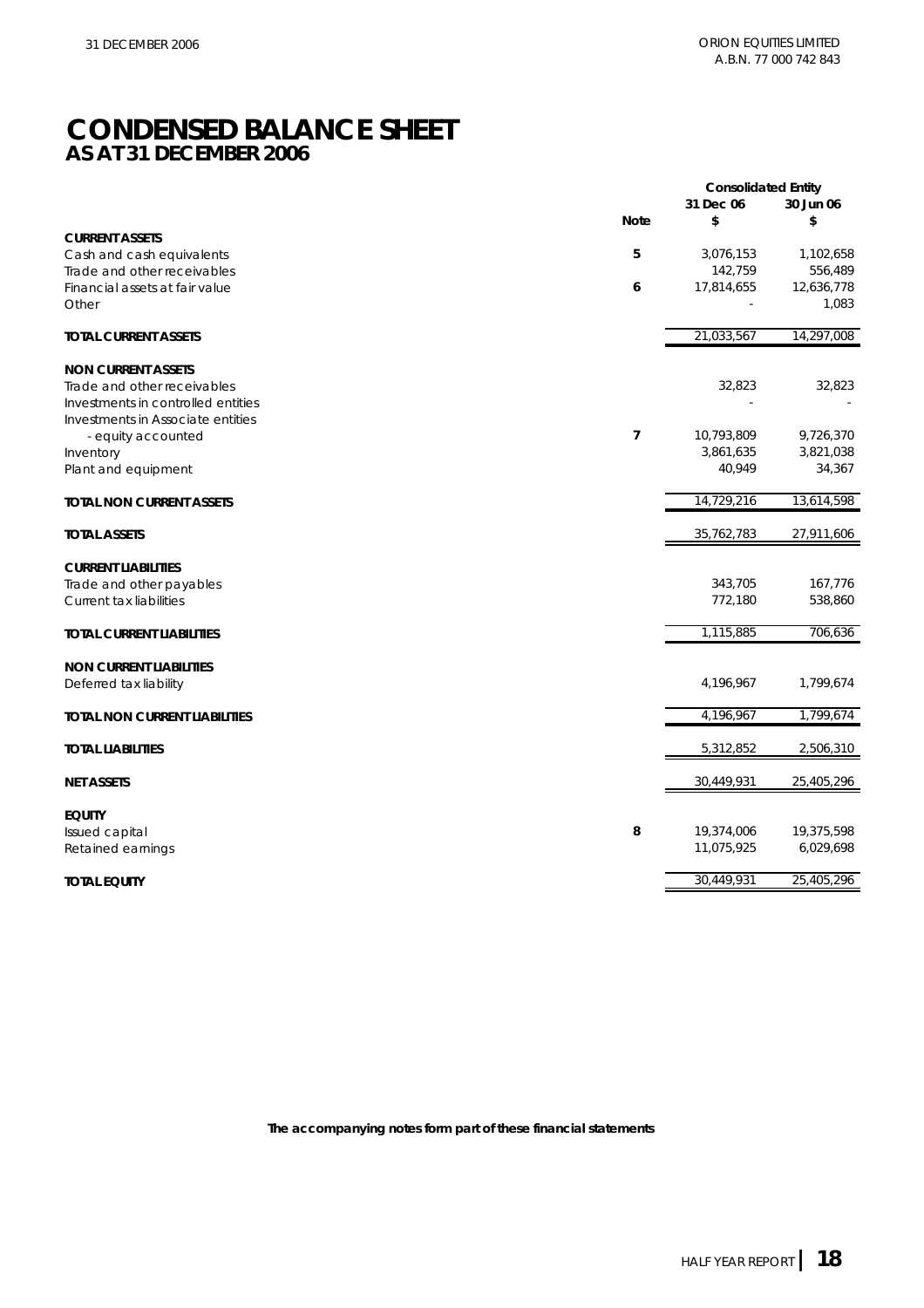## **CONDENSED BALANCE SHEET AS AT 31 DECEMBER 2006**

|                                    |                | <b>Consolidated Entity</b> |                        |
|------------------------------------|----------------|----------------------------|------------------------|
|                                    |                | 31 Dec 06                  | 30 Jun 06              |
| <b>CURRENT ASSETS</b>              | <b>Note</b>    | \$                         | \$                     |
| Cash and cash equivalents          | 5              | 3,076,153                  | 1,102,658              |
| Trade and other receivables        |                | 142,759                    | 556,489                |
| Financial assets at fair value     | 6              | 17,814,655                 | 12,636,778             |
| Other                              |                |                            | 1,083                  |
| <b>TOTAL CURRENT ASSETS</b>        |                | 21,033,567                 | 14,297,008             |
| <b>NON CURRENT ASSETS</b>          |                |                            |                        |
| Trade and other receivables        |                | 32,823                     | 32,823                 |
| Investments in controlled entities |                |                            |                        |
| Investments in Associate entities  |                |                            |                        |
| - equity accounted<br>Inventory    | $\overline{7}$ | 10,793,809<br>3,861,635    | 9,726,370<br>3,821,038 |
| Plant and equipment                |                | 40,949                     | 34,367                 |
|                                    |                |                            |                        |
| <b>TOTAL NON CURRENT ASSETS</b>    |                | 14,729,216                 | 13,614,598             |
| <b>TOTAL ASSETS</b>                |                | 35,762,783                 | 27,911,606             |
| <b>CURRENT LIABILITIES</b>         |                |                            |                        |
| Trade and other payables           |                | 343,705                    | 167,776                |
| Current tax liabilities            |                | 772,180                    | 538,860                |
| <b>TOTAL CURRENT LIABILITIES</b>   |                | 1,115,885                  | 706,636                |
| <b>NON CURRENT LIABILITIES</b>     |                |                            |                        |
| Deferred tax liability             |                | 4,196,967                  | 1,799,674              |
| TOTAL NON CURRENT LIABILITIES      |                | 4,196,967                  | 1,799,674              |
| <b>TOTAL LIABILITIES</b>           |                | 5,312,852                  | 2,506,310              |
| <b>NET ASSETS</b>                  |                | 30,449,931                 | 25,405,296             |
|                                    |                |                            |                        |
| <b>EQUITY</b>                      |                |                            |                        |
| Issued capital                     | 8              | 19,374,006                 | 19,375,598             |
| Retained earnings                  |                | 11,075,925                 | 6,029,698              |
| <b>TOTAL EQUITY</b>                |                | 30,449,931                 | 25,405,296             |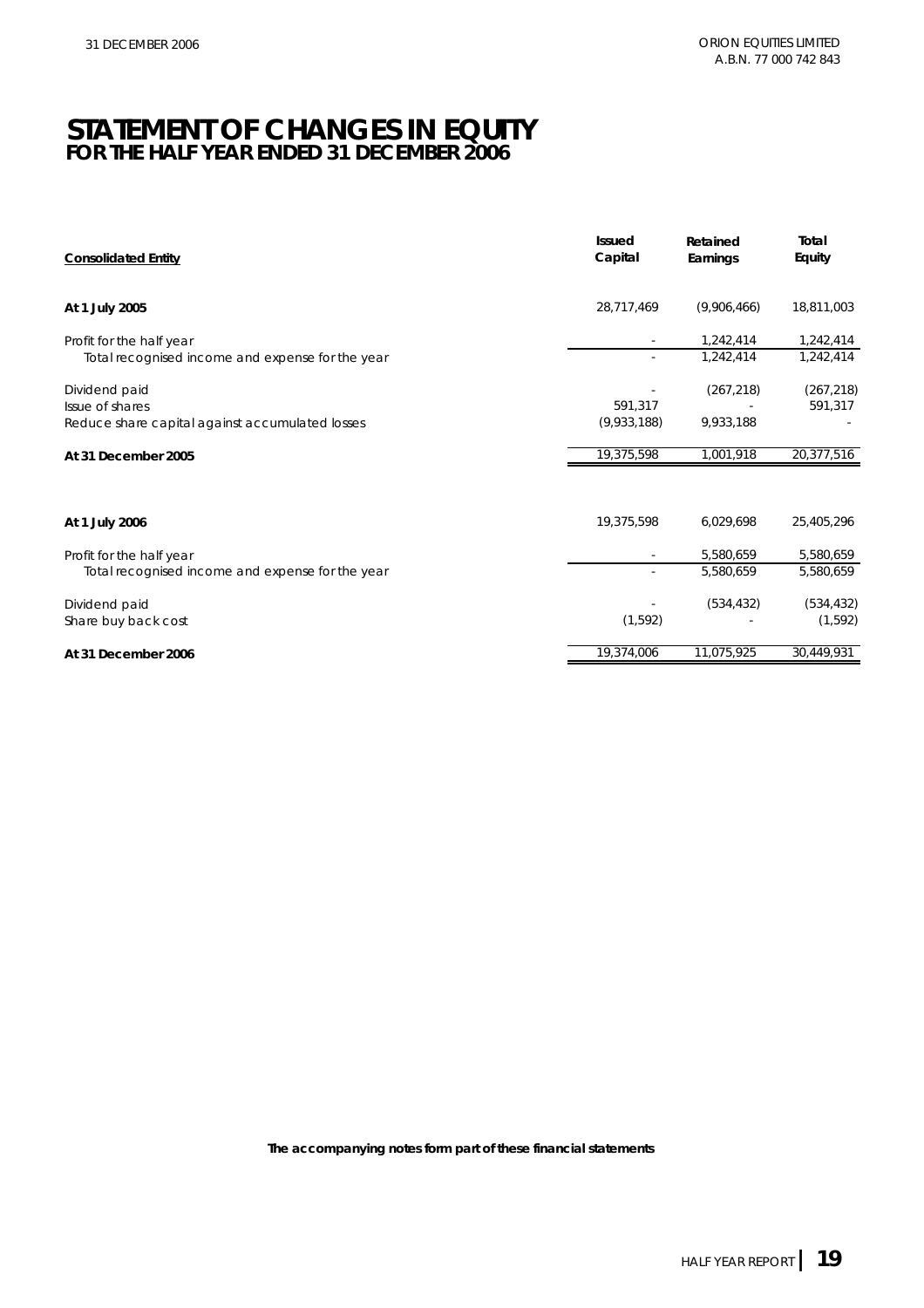## **STATEMENT OF CHANGES IN EQUITY FOR THE HALF YEAR ENDED 31 DECEMBER 2006**

| <b>Consolidated Entity</b>                       | <b>Issued</b><br>Capital | Retained<br>Earnings | Total<br>Equity |
|--------------------------------------------------|--------------------------|----------------------|-----------------|
| At 1 July 2005                                   | 28,717,469               | (9,906,466)          | 18,811,003      |
| Profit for the half year                         |                          | 1,242,414            | 1,242,414       |
| Total recognised income and expense for the year |                          | 1,242,414            | 1,242,414       |
| Dividend paid                                    |                          | (267, 218)           | (267, 218)      |
| Issue of shares                                  | 591.317                  |                      | 591,317         |
| Reduce share capital against accumulated losses  | (9,933,188)              | 9,933,188            |                 |
| At 31 December 2005                              | 19,375,598               | 1,001,918            | 20,377,516      |
| At 1 July 2006                                   | 19,375,598               | 6,029,698            | 25,405,296      |
| Profit for the half year                         |                          | 5,580,659            | 5,580,659       |
| Total recognised income and expense for the year |                          | 5,580,659            | 5,580,659       |
| Dividend paid                                    |                          | (534, 432)           | (534, 432)      |
| Share buy back cost                              | (1, 592)                 |                      | (1, 592)        |
| At 31 December 2006                              | 19,374,006               | 11,075,925           | 30,449,931      |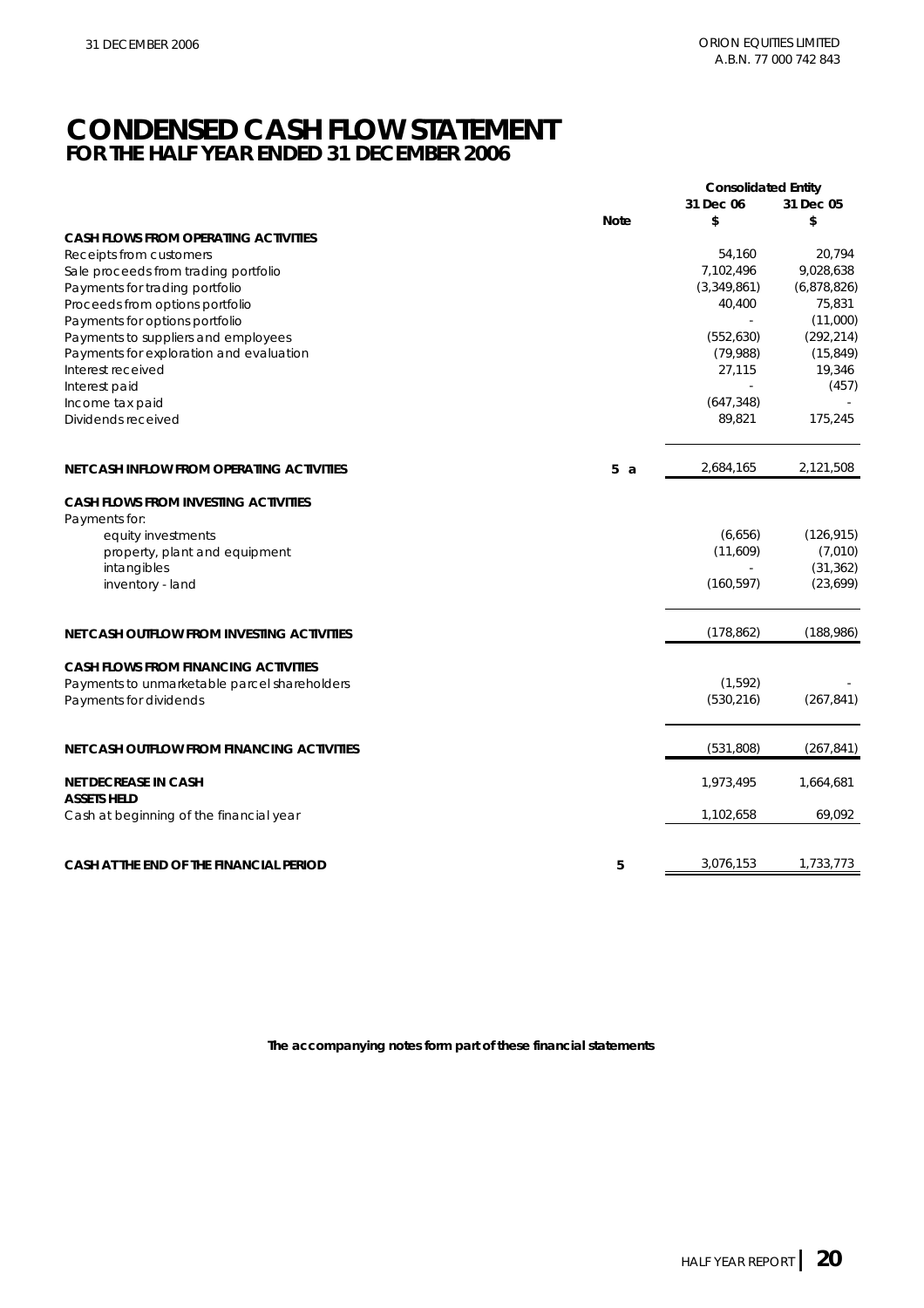## **CONDENSED CASH FLOW STATEMENT FOR THE HALF YEAR ENDED 31 DECEMBER 2006**

|                                                                        |             | <b>Consolidated Entity</b> |                      |
|------------------------------------------------------------------------|-------------|----------------------------|----------------------|
|                                                                        |             | 31 Dec 06                  | 31 Dec 05            |
|                                                                        | <b>Note</b> | \$                         | \$                   |
| <b>CASH FLOWS FROM OPERATING ACTIVITIES</b><br>Receipts from customers |             | 54,160                     | 20,794               |
| Sale proceeds from trading portfolio                                   |             | 7,102,496                  | 9,028,638            |
| Payments for trading portfolio                                         |             | (3,349,861)                | (6,878,826)          |
| Proceeds from options portfolio                                        |             | 40,400                     | 75,831               |
| Payments for options portfolio                                         |             |                            | (11,000)             |
| Payments to suppliers and employees                                    |             | (552, 630)                 | (292, 214)           |
| Payments for exploration and evaluation                                |             | (79,988)                   | (15, 849)            |
| Interest received                                                      |             | 27,115                     | 19,346               |
| Interest paid                                                          |             | ÷,                         | (457)                |
| Income tax paid                                                        |             | (647, 348)                 |                      |
| Dividends received                                                     |             | 89,821                     | 175,245              |
| NET CASH INFLOW FROM OPERATING ACTIVITIES                              | 5a          | 2,684,165                  | 2,121,508            |
| <b>CASH FLOWS FROM INVESTING ACTIVITIES</b>                            |             |                            |                      |
| Payments for:                                                          |             |                            |                      |
| equity investments                                                     |             | (6,656)                    | (126, 915)           |
| property, plant and equipment<br>intangibles                           |             | (11,609)                   | (7,010)<br>(31, 362) |
| inventory - land                                                       |             | (160, 597)                 | (23, 699)            |
|                                                                        |             |                            |                      |
| NET CASH OUTFLOW FROM INVESTING ACTIVITIES                             |             | (178, 862)                 | (188, 986)           |
| <b>CASH FLOWS FROM FINANCING ACTIVITIES</b>                            |             |                            |                      |
| Payments to unmarketable parcel shareholders                           |             | (1, 592)                   |                      |
| Payments for dividends                                                 |             | (530, 216)                 | (267, 841)           |
| NET CASH OUTFLOW FROM FINANCING ACTIVITIES                             |             | (531, 808)                 | (267, 841)           |
|                                                                        |             |                            |                      |
| <b>NET DECREASE IN CASH</b><br><b>ASSETS HELD</b>                      |             | 1,973,495                  | 1,664,681            |
| Cash at beginning of the financial year                                |             | 1,102,658                  | 69,092               |
| CASH AT THE END OF THE FINANCIAL PERIOD                                | 5           | 3,076,153                  | 1,733,773            |
|                                                                        |             |                            |                      |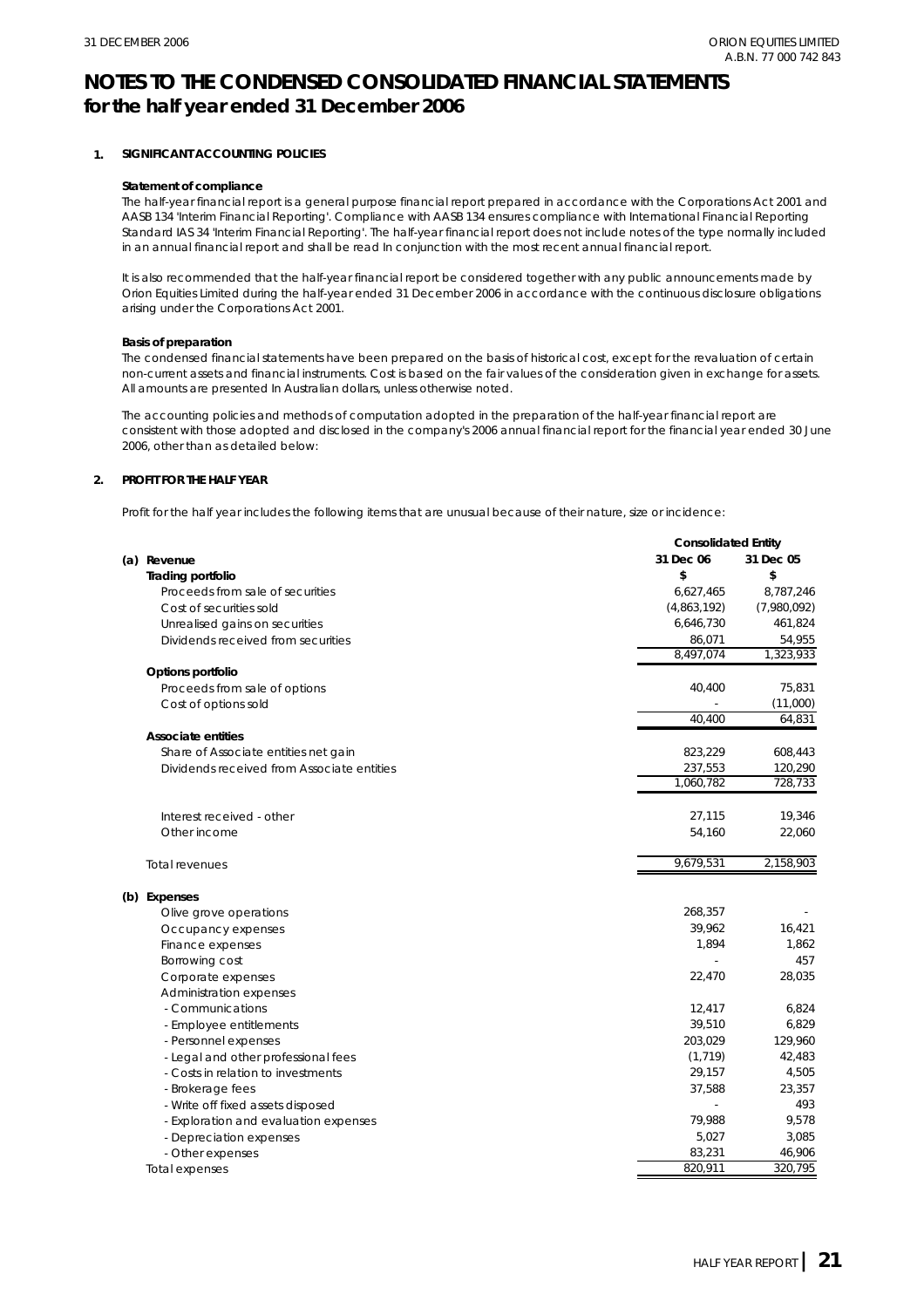#### **1. SIGNIFICANT ACCOUNTING POLICIES**

#### **Statement of compliance**

The half-year financial report is a general purpose financial report prepared in accordance with the Corporations Act 2001 and AASB 134 'Interim Financial Reporting'. Compliance with AASB 134 ensures compliance with International Financial Reporting Standard IAS 34 'Interim Financial Reporting'. The half-year financial report does not include notes of the type normally included in an annual financial report and shall be read In conjunction with the most recent annual financial report.

It is also recommended that the half-year financial report be considered together with any public announcements made by Orion Equities Limited during the half-year ended 31 December 2006 in accordance with the continuous disclosure obligations arising under the Corporations Act 2001.

#### **Basis of preparation**

The condensed financial statements have been prepared on the basis of historical cost, except for the revaluation of certain non-current assets and financial instruments. Cost is based on the fair values of the consideration given in exchange for assets. All amounts are presented In Australian dollars, unless otherwise noted.

The accounting policies and methods of computation adopted in the preparation of the half-year financial report are consistent with those adopted and disclosed in the company's 2006 annual financial report for the financial year ended 30 June 2006, other than as detailed below:

#### **2. PROFIT FOR THE HALF YEAR**

Profit for the half year includes the following items that are unusual because of their nature, size or incidence:

|                                            |  | <b>Consolidated Entity</b> |             |  |
|--------------------------------------------|--|----------------------------|-------------|--|
| (a) Revenue                                |  | 31 Dec 06                  | 31 Dec 05   |  |
| <b>Trading portfolio</b>                   |  | \$                         | \$          |  |
| Proceeds from sale of securities           |  | 6,627,465                  | 8,787,246   |  |
| Cost of securities sold                    |  | (4,863,192)                | (7,980,092) |  |
| Unrealised gains on securities             |  | 6,646,730                  | 461,824     |  |
| Dividends received from securities         |  | 86,071                     | 54,955      |  |
|                                            |  | 8,497,074                  | 1,323,933   |  |
| Options portfolio                          |  |                            |             |  |
| Proceeds from sale of options              |  | 40,400                     | 75,831      |  |
| Cost of options sold                       |  |                            | (11,000)    |  |
|                                            |  | 40,400                     | 64,831      |  |
| <b>Associate entities</b>                  |  |                            |             |  |
| Share of Associate entities net gain       |  | 823,229                    | 608,443     |  |
| Dividends received from Associate entities |  | 237,553                    | 120,290     |  |
|                                            |  | 1,060,782                  | 728,733     |  |
| Interest received - other                  |  | 27,115                     | 19,346      |  |
| Other income                               |  | 54,160                     | 22,060      |  |
|                                            |  |                            |             |  |
| <b>Total revenues</b>                      |  | 9,679,531                  | 2,158,903   |  |
| (b) Expenses                               |  |                            |             |  |
| Olive grove operations                     |  | 268,357                    |             |  |
| Occupancy expenses                         |  | 39,962                     | 16,421      |  |
| Finance expenses                           |  | 1,894                      | 1,862       |  |
| Borrowing cost                             |  |                            | 457         |  |
| Corporate expenses                         |  | 22,470                     | 28,035      |  |
| Administration expenses                    |  |                            |             |  |
| - Communications                           |  | 12,417                     | 6,824       |  |
| - Employee entitlements                    |  | 39,510                     | 6,829       |  |
| - Personnel expenses                       |  | 203,029                    | 129,960     |  |
| - Legal and other professional fees        |  | (1, 719)                   | 42,483      |  |
| - Costs in relation to investments         |  | 29,157                     | 4,505       |  |
| - Brokerage fees                           |  | 37,588                     | 23,357      |  |
| - Write off fixed assets disposed          |  |                            | 493         |  |
| - Exploration and evaluation expenses      |  | 79,988                     | 9,578       |  |
| - Depreciation expenses                    |  | 5,027                      | 3,085       |  |
| - Other expenses                           |  | 83,231                     | 46,906      |  |
| Total expenses                             |  | 820,911                    | 320,795     |  |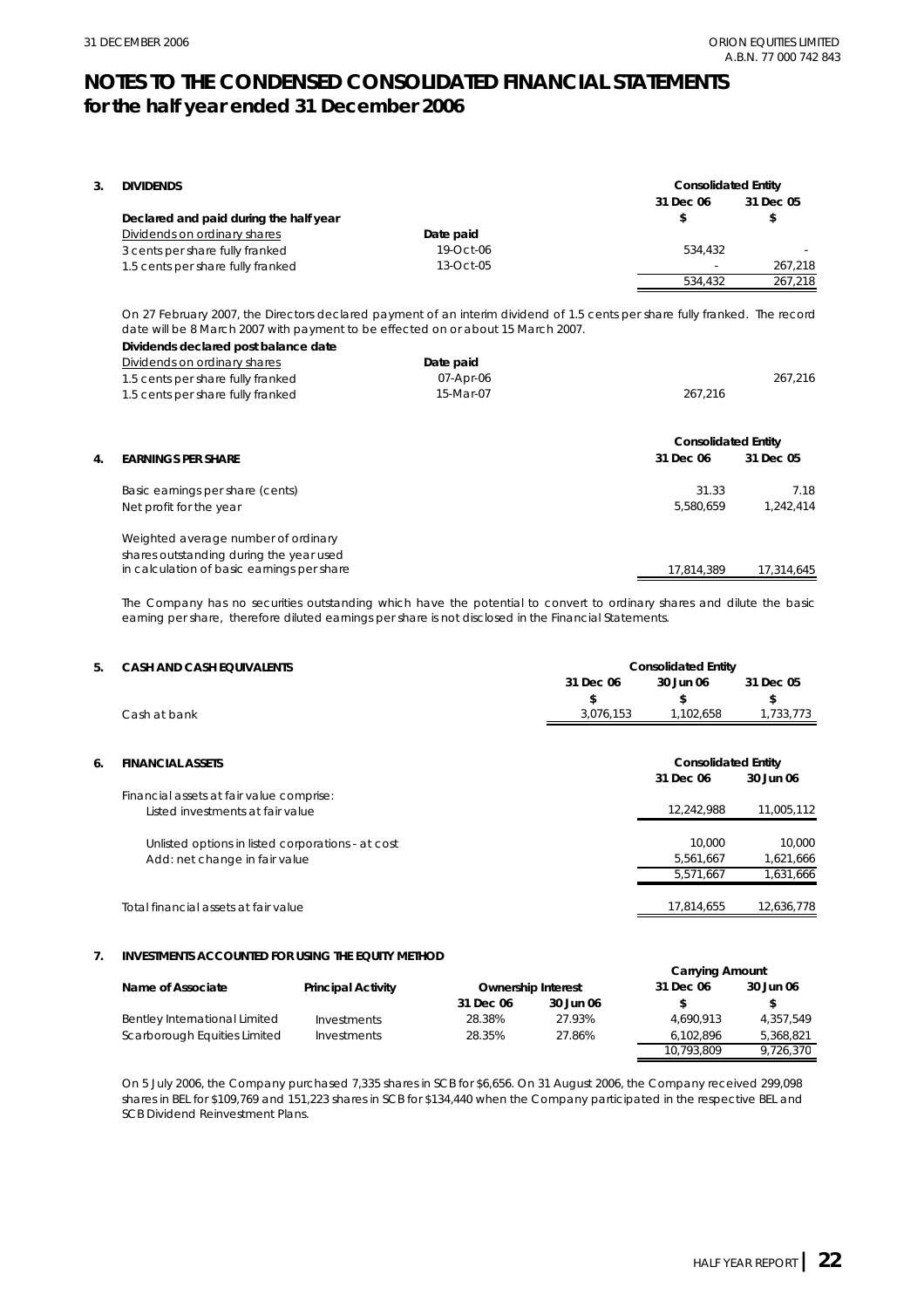| 3. | <b>DIVIDENDS</b>                                                                                                                                                                                                |           | <b>Consolidated Entity</b><br>31 Dec 06 | 31 Dec 05  |
|----|-----------------------------------------------------------------------------------------------------------------------------------------------------------------------------------------------------------------|-----------|-----------------------------------------|------------|
|    | Declared and paid during the half year                                                                                                                                                                          |           | \$                                      | \$         |
|    | Dividends on ordinary shares                                                                                                                                                                                    | Date paid |                                         |            |
|    | 3 cents per share fully franked                                                                                                                                                                                 | 19-Oct-06 | 534,432                                 |            |
|    | 1.5 cents per share fully franked                                                                                                                                                                               | 13-Oct-05 |                                         | 267,218    |
|    |                                                                                                                                                                                                                 |           | 534,432                                 | 267,218    |
|    | On 27 February 2007, the Directors declared payment of an interim dividend of 1.5 cents per share fully franked. The record<br>date will be 8 March 2007 with payment to be effected on or about 15 March 2007. |           |                                         |            |
|    | Dividends declared post balance date                                                                                                                                                                            |           |                                         |            |
|    | Dividends on ordinary shares                                                                                                                                                                                    | Date paid |                                         |            |
|    | 1.5 cents per share fully franked                                                                                                                                                                               | 07-Apr-06 |                                         | 267,216    |
|    | 1.5 cents per share fully franked                                                                                                                                                                               | 15-Mar-07 | 267,216                                 |            |
|    |                                                                                                                                                                                                                 |           | <b>Consolidated Entity</b>              |            |
| 4. | <b>EARNINGS PER SHARE</b>                                                                                                                                                                                       |           | 31 Dec 06                               | 31 Dec 05  |
|    | Basic earnings per share (cents)                                                                                                                                                                                |           | 31.33                                   | 7.18       |
|    | Net profit for the year                                                                                                                                                                                         |           | 5,580,659                               | 1,242,414  |
|    | Weighted average number of ordinary                                                                                                                                                                             |           |                                         |            |
|    | shares outstanding during the year used                                                                                                                                                                         |           |                                         |            |
|    | in calculation of basic earnings per share                                                                                                                                                                      |           | 17,814,389                              | 17,314,645 |

The Company has no securities outstanding which have the potential to convert to ordinary shares and dilute the basic earning per share, therefore diluted earnings per share is not disclosed in the Financial Statements.

| 5. | <b>CASH AND CASH EQUIVALENTS</b> |           | <b>Consolidated Entity</b> |           |
|----|----------------------------------|-----------|----------------------------|-----------|
|    |                                  | 31 Dec 06 | 30 Jun 06                  | 31 Dec 05 |
|    |                                  |           |                            |           |
|    | Cash at bank                     | 3,076,153 | .102.658                   | 1,733,773 |
|    |                                  |           |                            |           |
|    |                                  |           |                            |           |

| 6. | <b>FINANCIAL ASSETS</b>                           |            | <b>Consolidated Entity</b> |  |  |
|----|---------------------------------------------------|------------|----------------------------|--|--|
|    |                                                   | 31 Dec 06  | 30 Jun 06                  |  |  |
|    | Financial assets at fair value comprise:          |            |                            |  |  |
|    | Listed investments at fair value                  | 12.242.988 | 11,005,112                 |  |  |
|    | Unlisted options in listed corporations - at cost | 10.000     | 10.000                     |  |  |
|    | Add: net change in fair value                     | 5,561,667  | 1,621,666                  |  |  |
|    |                                                   | 5.571.667  | 1,631,666                  |  |  |
|    | Total financial assets at fair value              | 17.814.655 | 12.636.778                 |  |  |

#### **7. INVESTMENTS ACCOUNTED FOR USING THE EQUITY METHOD**

|                               | <b>Carrying Amount</b>    |           |                           |            |           |
|-------------------------------|---------------------------|-----------|---------------------------|------------|-----------|
| Name of Associate             | <b>Principal Activity</b> |           | <b>Ownership Interest</b> | 31 Dec 06  | 30 Jun 06 |
|                               |                           | 31 Dec 06 | 30 Jun 06                 |            | S.        |
| Bentley International Limited | Investments               | 28.38%    | 27.93%                    | 4.690.913  | 4.357.549 |
| Scarborough Equities Limited  | Investments               | 28.35%    | 27.86%                    | 6.102.896  | 5,368,821 |
|                               |                           |           |                           | 10.793.809 | 9.726.370 |

On 5 July 2006, the Company purchased 7,335 shares in SCB for \$6,656. On 31 August 2006, the Company received 299,098 shares in BEL for \$109,769 and 151,223 shares in SCB for \$134,440 when the Company participated in the respective BEL and SCB Dividend Reinvestment Plans.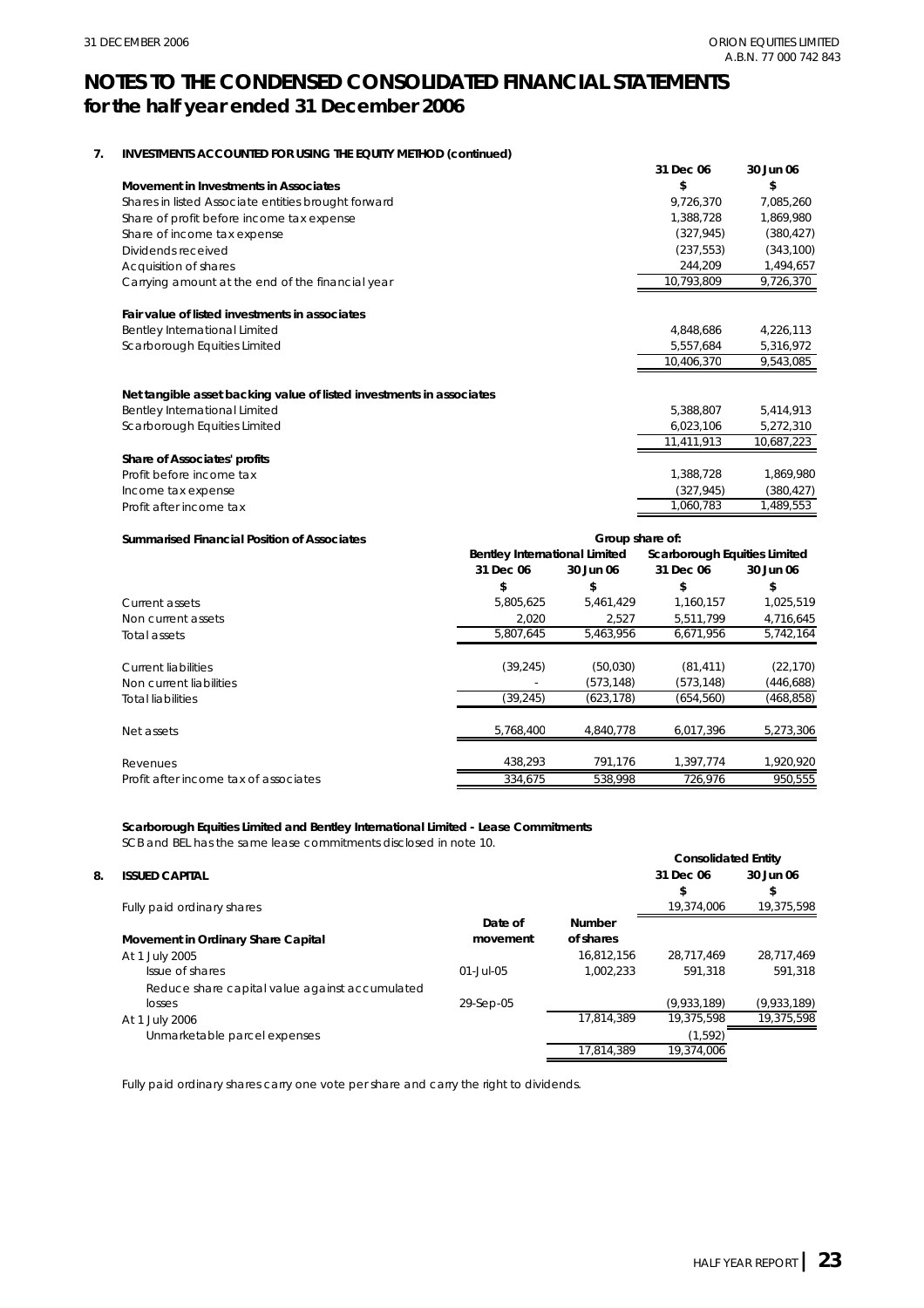#### **7. INVESTMENTS ACCOUNTED FOR USING THE EQUITY METHOD (continued)**

|                                                                      | 31 Dec 06  | 30 Jun 06  |
|----------------------------------------------------------------------|------------|------------|
| Movement in Investments in Associates                                | \$         | \$         |
| Shares in listed Associate entities brought forward                  | 9,726,370  | 7,085,260  |
| Share of profit before income tax expense                            | 1,388,728  | 1,869,980  |
| Share of income tax expense                                          | (327, 945) | (380, 427) |
| Dividends received                                                   | (237, 553) | (343, 100) |
| Acquisition of shares                                                | 244,209    | 1,494,657  |
| Carrying amount at the end of the financial year                     | 10,793,809 | 9,726,370  |
| Fair value of listed investments in associates                       |            |            |
| Bentley International Limited                                        | 4,848,686  | 4,226,113  |
| Scarborough Equities Limited                                         | 5,557,684  | 5,316,972  |
|                                                                      | 10,406,370 | 9,543,085  |
| Net tangible asset backing value of listed investments in associates |            |            |
| Bentley International Limited                                        | 5,388,807  | 5,414,913  |
| Scarborough Equities Limited                                         | 6,023,106  | 5,272,310  |
|                                                                      | 11,411,913 | 10,687,223 |
| Share of Associates' profits                                         |            |            |
| Profit before income tax                                             | 1,388,728  | 1,869,980  |
| Income tax expense                                                   | (327, 945) | (380, 427) |
| Profit after income tax                                              | 1,060,783  | 1,489,553  |

#### **Summarised Financial Position of Associates**

| <b>Summarised Financial Position of Associates</b> | Group share of:                      |            |            |                              |  |
|----------------------------------------------------|--------------------------------------|------------|------------|------------------------------|--|
|                                                    | <b>Bentley International Limited</b> |            |            | Scarborough Equities Limited |  |
|                                                    | 31 Dec 06                            | 30 Jun 06  | 31 Dec 06  | 30 Jun 06                    |  |
|                                                    | \$                                   | \$         | \$         | \$                           |  |
| Current assets                                     | 5,805,625                            | 5,461,429  | 1,160,157  | 1,025,519                    |  |
| Non current assets                                 | 2,020                                | 2,527      | 5,511,799  | 4,716,645                    |  |
| Total assets                                       | 5.807.645                            | 5.463.956  | 6.671.956  | 5,742,164                    |  |
| Current liabilities                                | (39, 245)                            | (50,030)   | (81, 411)  | (22, 170)                    |  |
| Non current liabilities                            |                                      | (573, 148) | (573, 148) | (446, 688)                   |  |
| Total liabilities                                  | (39, 245)                            | (623, 178) | (654, 560) | (468, 858)                   |  |
| Net assets                                         | 5.768.400                            | 4.840.778  | 6.017.396  | 5,273,306                    |  |
| Revenues                                           | 438,293                              | 791,176    | 1.397.774  | 1.920.920                    |  |
| Profit after income tax of associates              | 334,675                              | 538,998    | 726,976    | 950,555                      |  |

#### **Scarborough Equities Limited and Bentley International Limited - Lease Commitments**

SCB and BEL has the same lease commitments disclosed in note 10.

#### **8. ISSUED CAPITAL**

|               |            | 31 Dec 06   | 30 Jun 06<br>\$ |
|---------------|------------|-------------|-----------------|
|               |            | 19.374.006  | 19,375,598      |
| Date of       | Number     |             |                 |
| movement      | of shares  |             |                 |
|               | 16.812.156 | 28.717.469  | 28,717,469      |
| $01 -$ Jul-05 | 1.002.233  | 591.318     | 591.318         |
|               |            |             |                 |
| 29-Sep-05     |            | (9,933,189) | (9,933,189)     |
|               | 17,814,389 | 19.375.598  | 19,375,598      |
|               |            | (1, 592)    |                 |
|               | 17,814,389 | 19.374.006  |                 |
|               |            |             | \$              |

Fully paid ordinary shares carry one vote per share and carry the right to dividends.

**Consolidated Entity**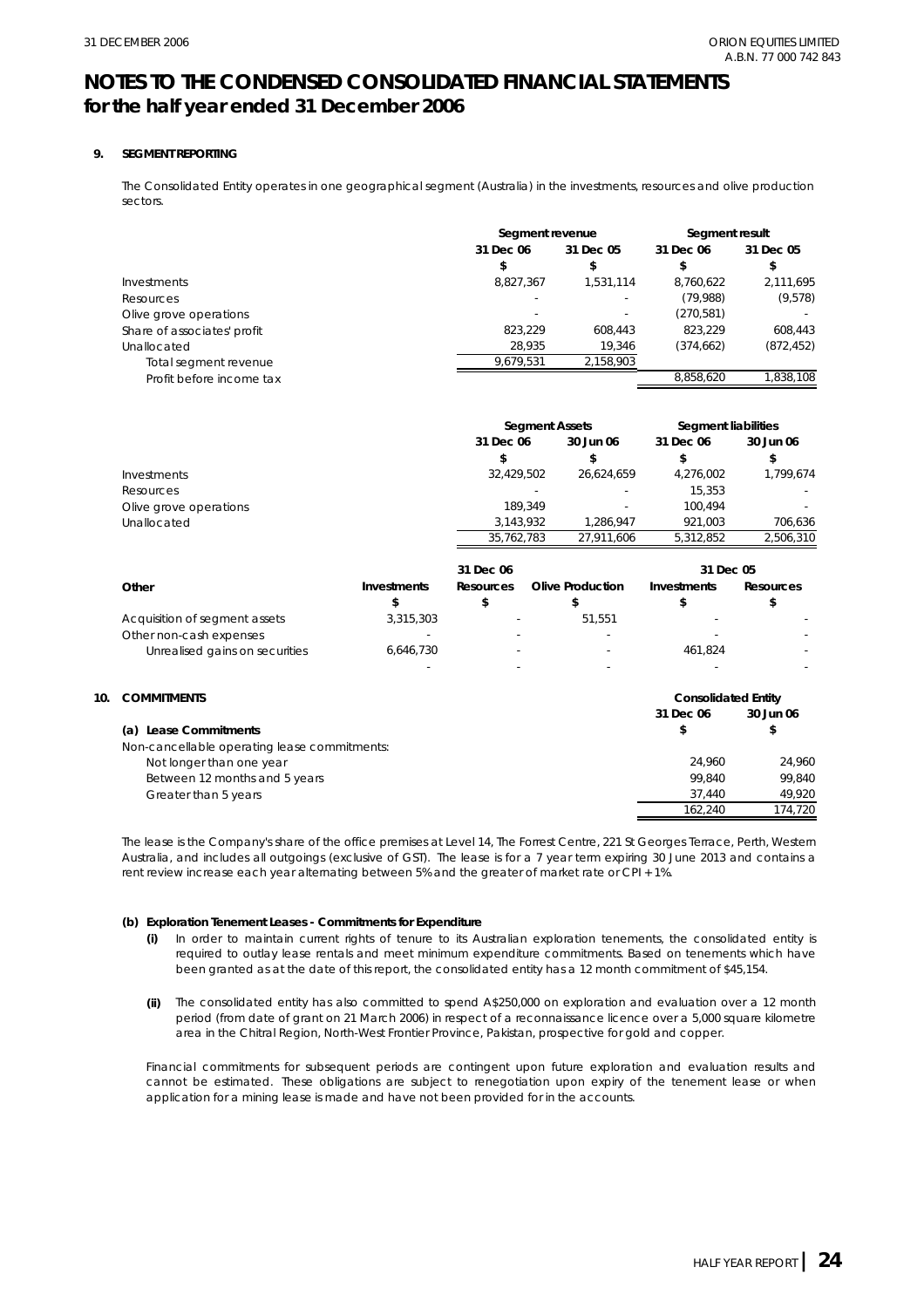**10.** 

### **NOTES TO THE CONDENSED CONSOLIDATED FINANCIAL STATEMENTS for the half year ended 31 December 2006**

#### **9. SEGMENT REPORTING**

The Consolidated Entity operates in one geographical segment (Australia) in the investments, resources and olive production sectors.

|                             |           | Segment revenue |            | Segment result |
|-----------------------------|-----------|-----------------|------------|----------------|
|                             | 31 Dec 06 | 31 Dec 05       | 31 Dec 06  | 31 Dec 05      |
|                             |           | \$              |            | \$             |
| Investments                 | 8,827,367 | 1,531,114       | 8,760,622  | 2,111,695      |
| Resources                   |           | ٠               | (79,988)   | (9,578)        |
| Olive grove operations      |           | ۰               | (270,581)  |                |
| Share of associates' profit | 823.229   | 608.443         | 823.229    | 608.443        |
| Unallocated                 | 28,935    | 19.346          | (374, 662) | (872, 452)     |
| Total segment revenue       | 9,679,531 | 2,158,903       |            |                |
| Profit before income tax    |           |                 | 8.858.620  | 1.838.108      |

|                        |            | <b>Segment Assets</b> |           | Segment liabilities |
|------------------------|------------|-----------------------|-----------|---------------------|
|                        | 31 Dec 06  | 30 Jun 06             | 31 Dec 06 | 30 Jun 06           |
|                        |            |                       | \$        | \$                  |
| Investments            | 32.429.502 | 26.624.659            | 4.276.002 | 1.799.674           |
| Resources              |            |                       | 15.353    |                     |
| Olive grove operations | 189.349    | ۰                     | 100.494   |                     |
| Unallocated            | 3.143.932  | 1.286.947             | 921.003   | 706.636             |
|                        | 35.762.783 | 27.911.606            | 5.312.852 | 2.506.310           |

|                                |             | 31 Dec 06 |                  | 31 Dec 05   |           |
|--------------------------------|-------------|-----------|------------------|-------------|-----------|
| Other                          | Investments | Resources | Olive Production | Investments | Resources |
|                                |             |           |                  |             |           |
| Acquisition of segment assets  | 3,315,303   | $\sim$    | 51.551           |             |           |
| Other non-cash expenses        |             | -         |                  |             |           |
| Unrealised gains on securities | 6,646,730   | $\sim$    |                  | 461.824     |           |
|                                |             |           |                  |             |           |

| <b>COMMITMENTS</b>                           | <b>Consolidated Entity</b> |           |
|----------------------------------------------|----------------------------|-----------|
|                                              | 31 Dec 06                  | 30 Jun 06 |
| <b>Lease Commitments</b><br>(a)              | \$                         | \$        |
| Non-cancellable operating lease commitments: |                            |           |
| Not longer than one year                     | 24.960                     | 24.960    |
| Between 12 months and 5 years                | 99.840                     | 99.840    |
| Greater than 5 years                         | 37.440                     | 49,920    |
|                                              | 162.240                    | 174.720   |

The lease is the Company's share of the office premises at Level 14, The Forrest Centre, 221 St Georges Terrace, Perth, Western Australia, and includes all outgoings (exclusive of GST). The lease is for a 7 year term expiring 30 June 2013 and contains a rent review increase each year alternating between 5% and the greater of market rate or CPI + 1%.

#### **(b) Exploration Tenement Leases - Commitments for Expenditure**

- **(i)** In order to maintain current rights of tenure to its Australian exploration tenements, the consolidated entity is required to outlay lease rentals and meet minimum expenditure commitments. Based on tenements which have been granted as at the date of this report, the consolidated entity has a 12 month commitment of \$45,154.
- **(ii)** The consolidated entity has also committed to spend A\$250,000 on exploration and evaluation over a 12 month period (from date of grant on 21 March 2006) in respect of a reconnaissance licence over a 5,000 square kilometre area in the Chitral Region, North-West Frontier Province, Pakistan, prospective for gold and copper.

Financial commitments for subsequent periods are contingent upon future exploration and evaluation results and cannot be estimated. These obligations are subject to renegotiation upon expiry of the tenement lease or when application for a mining lease is made and have not been provided for in the accounts.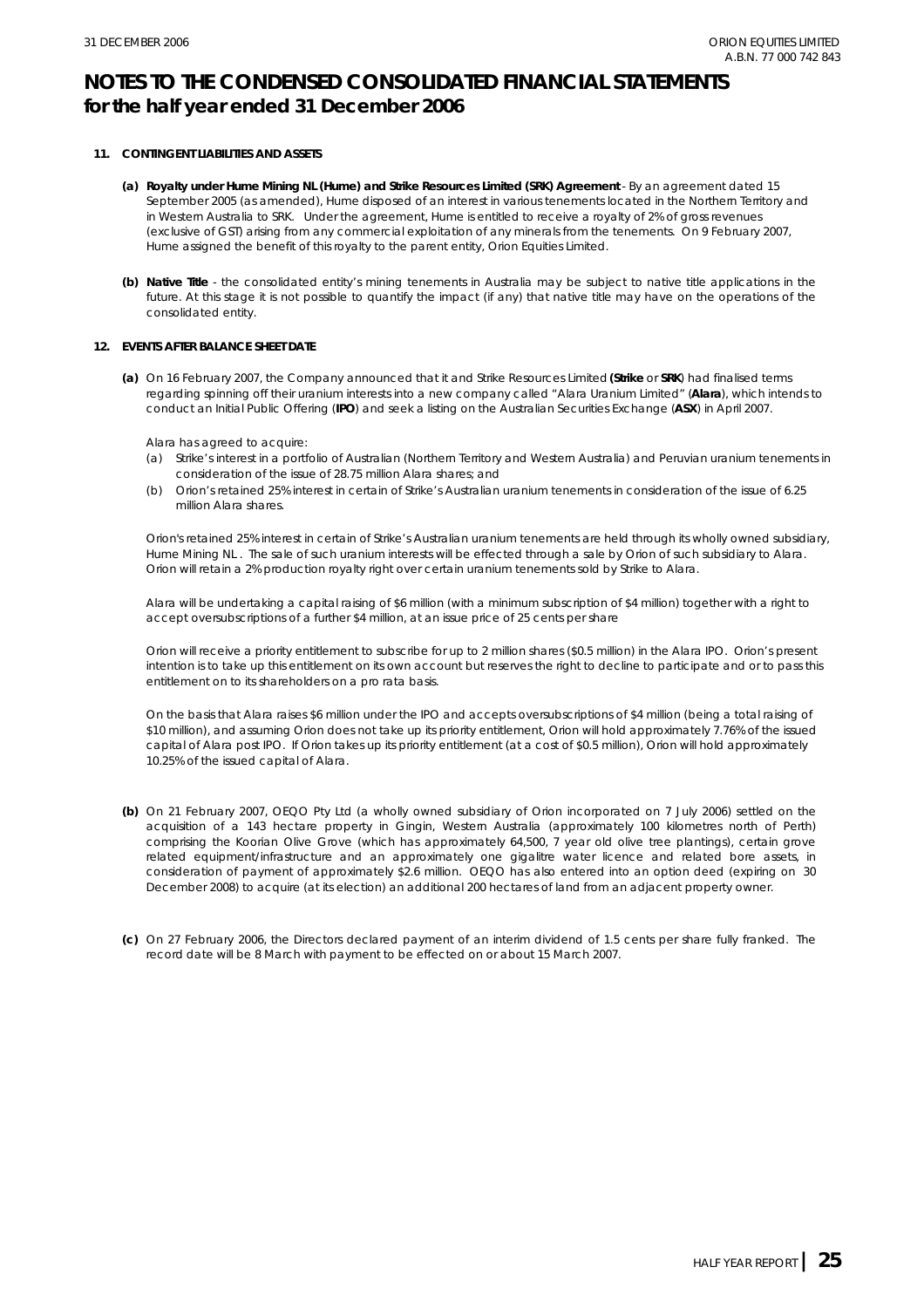#### **11. CONTINGENT LIABILITIES AND ASSETS**

- **(a) Royalty under Hume Mining NL (Hume) and Strike Resources Limited (SRK) Agreement**  By an agreement dated 15 September 2005 (as amended), Hume disposed of an interest in various tenements located in the Northern Territory and in Western Australia to SRK. Under the agreement, Hume is entitled to receive a royalty of 2% of gross revenues (exclusive of GST) arising from any commercial exploitation of any minerals from the tenements. On 9 February 2007, Hume assigned the benefit of this royalty to the parent entity, Orion Equities Limited.
- **(b) Native Title** the consolidated entity's mining tenements in Australia may be subject to native title applications in the future. At this stage it is not possible to quantify the impact (if any) that native title may have on the operations of the consolidated entity.

#### **12. EVENTS AFTER BALANCE SHEET DATE**

**(a)**  On 16 February 2007, the Company announced that it and Strike Resources Limited **(Strike** or **SRK**) had finalised terms regarding spinning off their uranium interests into a new company called "Alara Uranium Limited" (**Alara**), which intends to conduct an Initial Public Offering (**IPO**) and seek a listing on the Australian Securities Exchange (**ASX**) in April 2007.

Alara has agreed to acquire:

- (a) Strike's interest in a portfolio of Australian (Northern Territory and Western Australia) and Peruvian uranium tenements in consideration of the issue of 28.75 million Alara shares; and
- (b) Orion's retained 25% interest in certain of Strike's Australian uranium tenements in consideration of the issue of 6.25 million Alara shares.

Orion's retained 25% interest in certain of Strike's Australian uranium tenements are held through its wholly owned subsidiary, Hume Mining NL . The sale of such uranium interests will be effected through a sale by Orion of such subsidiary to Alara. Orion will retain a 2% production royalty right over certain uranium tenements sold by Strike to Alara.

Alara will be undertaking a capital raising of \$6 million (with a minimum subscription of \$4 million) together with a right to accept oversubscriptions of a further \$4 million, at an issue price of 25 cents per share

Orion will receive a priority entitlement to subscribe for up to 2 million shares (\$0.5 million) in the Alara IPO. Orion's present intention is to take up this entitlement on its own account but reserves the right to decline to participate and or to pass this entitlement on to its shareholders on a pro rata basis.

On the basis that Alara raises \$6 million under the IPO and accepts oversubscriptions of \$4 million (being a total raising of \$10 million), and assuming Orion does not take up its priority entitlement, Orion will hold approximately 7.76% of the issued capital of Alara post IPO. If Orion takes up its priority entitlement (at a cost of \$0.5 million), Orion will hold approximately 10.25% of the issued capital of Alara.

- **(b)**  On 21 February 2007, OEQO Pty Ltd (a wholly owned subsidiary of Orion incorporated on 7 July 2006) settled on the acquisition of a 143 hectare property in Gingin, Western Australia (approximately 100 kilometres north of Perth) comprising the Koorian Olive Grove (which has approximately 64,500, 7 year old olive tree plantings), certain grove related equipment/infrastructure and an approximately one gigalitre water licence and related bore assets, in consideration of payment of approximately \$2.6 million. OEQO has also entered into an option deed (expiring on 30 December 2008) to acquire (at its election) an additional 200 hectares of land from an adjacent property owner.
- **(c)**  On 27 February 2006, the Directors declared payment of an interim dividend of 1.5 cents per share fully franked. The record date will be 8 March with payment to be effected on or about 15 March 2007.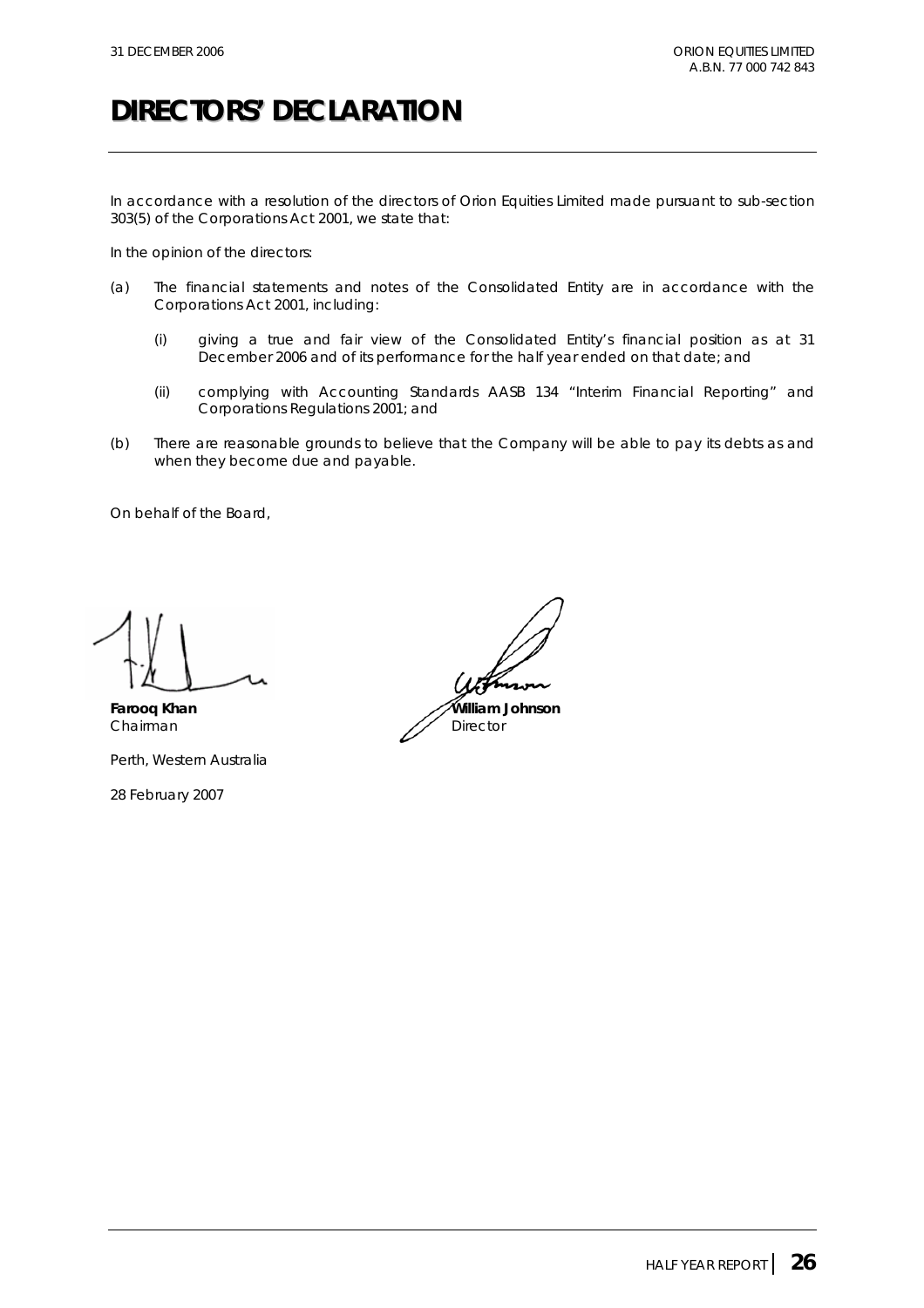## **DIRECTORS' DECLARATION**

In accordance with a resolution of the directors of Orion Equities Limited made pursuant to sub-section 303(5) of the *Corporations Act 2001*, we state that:

In the opinion of the directors:

- (a) The financial statements and notes of the Consolidated Entity are in accordance with the *Corporations Act 2001*, including:
	- (i) giving a true and fair view of the Consolidated Entity's financial position as at 31 December 2006 and of its performance for the half year ended on that date; and
	- (ii) complying with Accounting Standards AASB 134 "Interim Financial Reporting" and *Corporations Regulations 2001*; and
- (b) There are reasonable grounds to believe that the Company will be able to pay its debts as and when they become due and payable.

On behalf of the Board,

Perth, Western Australia

28 February 2007

**Farooq Khan William Johnson** Chairman **Director** Director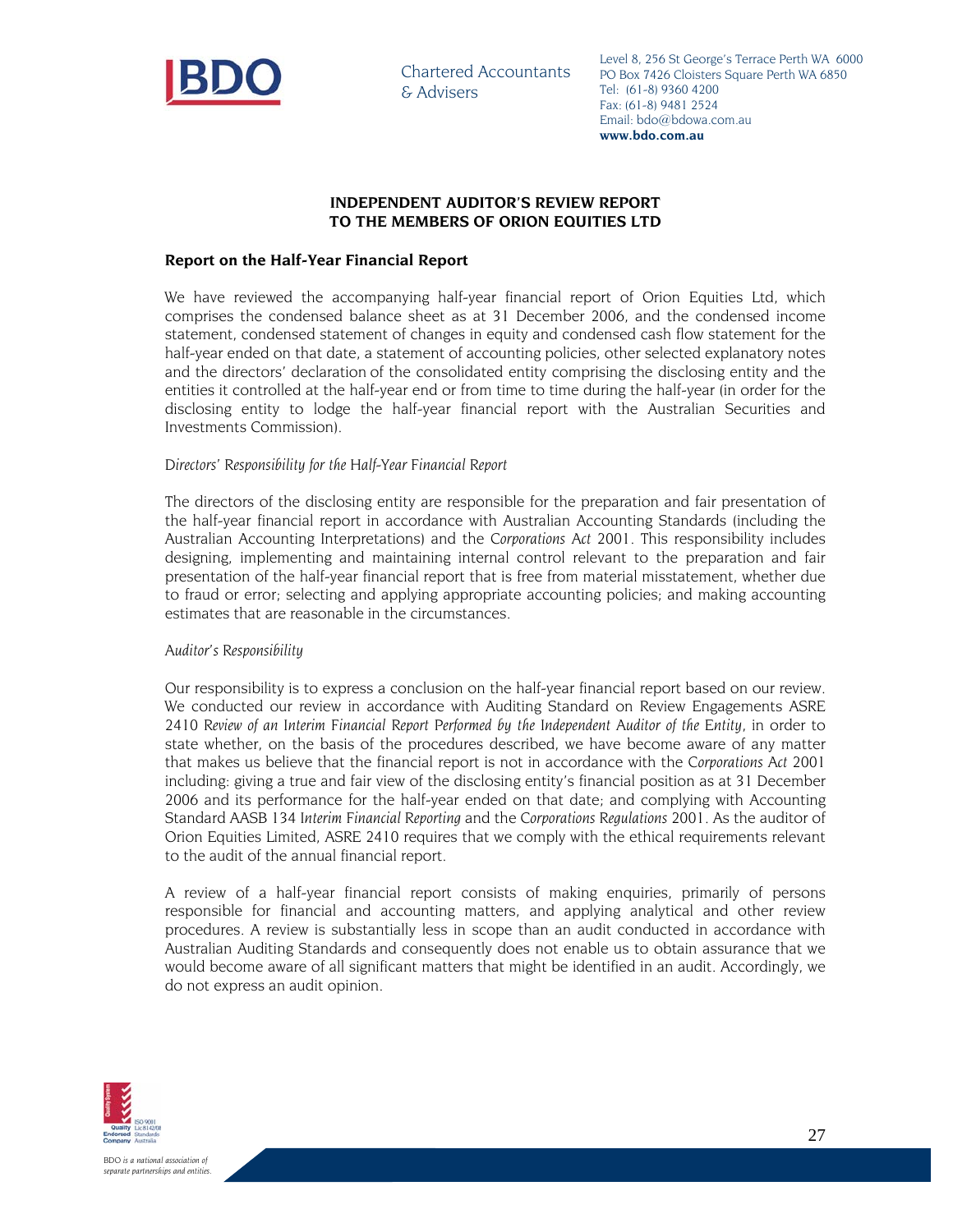

Chartered Accountants & Advisers

Level 8, 256 St George's Terrace Perth WA 6000 PO Box 7426 Cloisters Square Perth WA 6850 Tel: (61-8) 9360 4200 Fax: (61-8) 9481 2524 Email: bdo@bdowa.com.au **www.bdo.com.au** 

#### **INDEPENDENT AUDITOR'S REVIEW REPORT TO THE MEMBERS OF ORION EQUITIES LTD**

#### **Report on the Half-Year Financial Report**

We have reviewed the accompanying half-year financial report of Orion Equities Ltd, which comprises the condensed balance sheet as at 31 December 2006, and the condensed income statement, condensed statement of changes in equity and condensed cash flow statement for the half-year ended on that date, a statement of accounting policies, other selected explanatory notes and the directors' declaration of the consolidated entity comprising the disclosing entity and the entities it controlled at the half-year end or from time to time during the half-year (in order for the disclosing entity to lodge the half-year financial report with the Australian Securities and Investments Commission).

#### *Directors' Responsibility for the Half-Year Financial Report*

The directors of the disclosing entity are responsible for the preparation and fair presentation of the half-year financial report in accordance with Australian Accounting Standards (including the Australian Accounting Interpretations) and the *Corporations Act 2001*. This responsibility includes designing, implementing and maintaining internal control relevant to the preparation and fair presentation of the half-year financial report that is free from material misstatement, whether due to fraud or error; selecting and applying appropriate accounting policies; and making accounting estimates that are reasonable in the circumstances.

#### *Auditor's Responsibility*

Our responsibility is to express a conclusion on the half-year financial report based on our review. We conducted our review in accordance with Auditing Standard on Review Engagements ASRE 2410 *Review of an Interim Financial Report Performed by the Independent Auditor of the Entity*, in order to state whether, on the basis of the procedures described, we have become aware of any matter that makes us believe that the financial report is not in accordance with the *Corporations Act 2001* including: giving a true and fair view of the disclosing entity's financial position as at 31 December 2006 and its performance for the half-year ended on that date; and complying with Accounting Standard AASB 134 *Interim Financial Reporting* and the *Corporations Regulations 2001*. As the auditor of Orion Equities Limited, ASRE 2410 requires that we comply with the ethical requirements relevant to the audit of the annual financial report.

A review of a half-year financial report consists of making enquiries, primarily of persons responsible for financial and accounting matters, and applying analytical and other review procedures. A review is substantially less in scope than an audit conducted in accordance with Australian Auditing Standards and consequently does not enable us to obtain assurance that we would become aware of all significant matters that might be identified in an audit. Accordingly, we do not express an audit opinion.

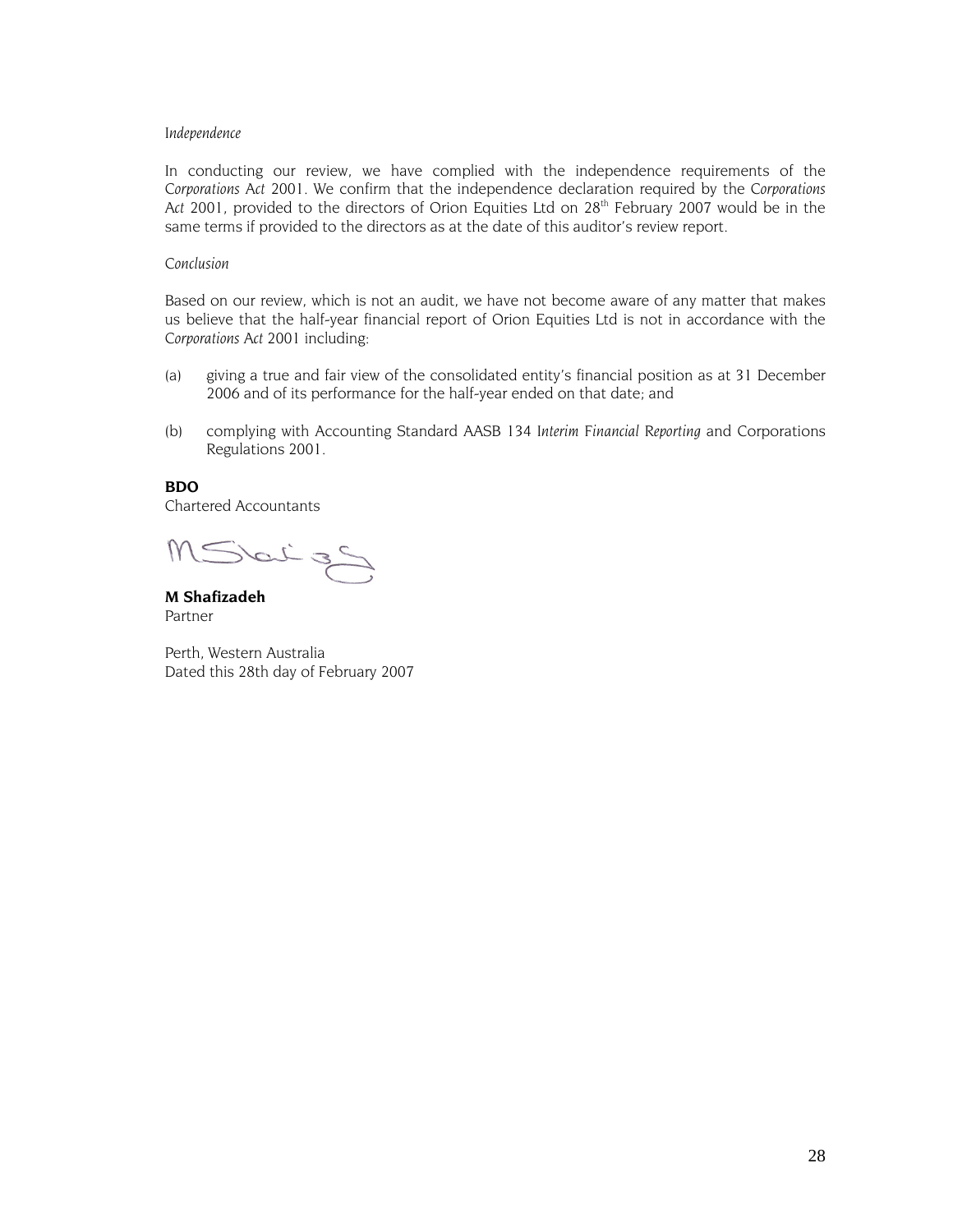#### *Independence*

In conducting our review, we have complied with the independence requirements of the *Corporations Act 2001*. We confirm that the independence declaration required by the *Corporations*  Act 2001, provided to the directors of Orion Equities Ltd on 28<sup>th</sup> February 2007 would be in the same terms if provided to the directors as at the date of this auditor's review report.

#### *Conclusion*

Based on our review, which is not an audit, we have not become aware of any matter that makes us believe that the half-year financial report of Orion Equities Ltd is not in accordance with the *Corporations Act 2001* including:

- (a) giving a true and fair view of the consolidated entity's financial position as at 31 December 2006 and of its performance for the half-year ended on that date; and
- (b) complying with Accounting Standard AASB 134 *Interim Financial Reporting* and Corporations Regulations 2001.

#### **BDO**

Chartered Accountants

MSbitzS

**M Shafizadeh**  Partner

Perth, Western Australia Dated this 28th day of February 2007